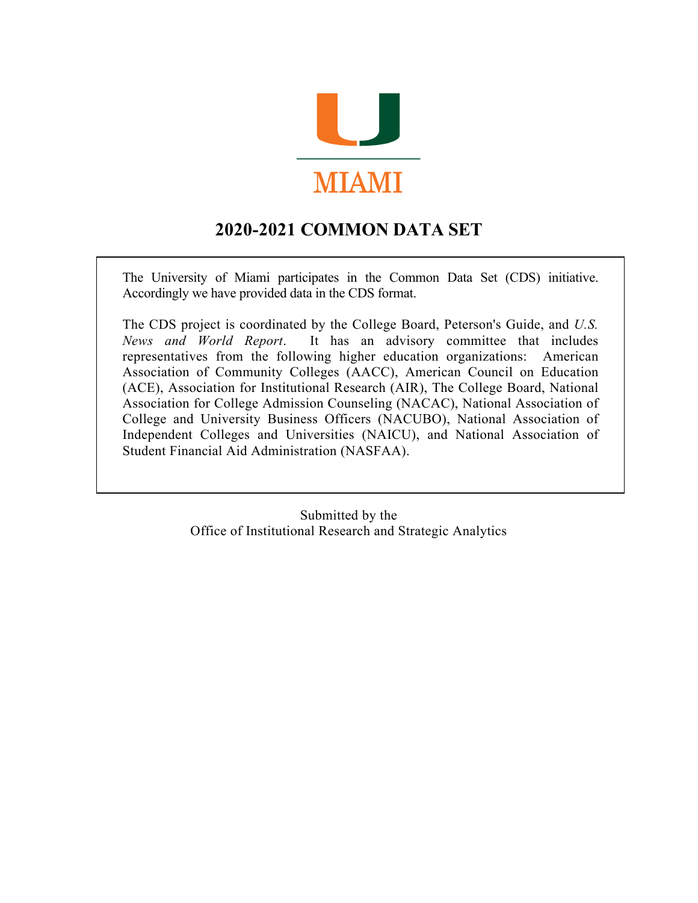

# **2020-2021 COMMON DATA SET**

The University of Miami participates in the Common Data Set (CDS) initiative. Accordingly we have provided data in the CDS format.

The CDS project is coordinated by the College Board, Peterson's Guide, and *U.S. News and World Report*. It has an advisory committee that includes representatives from the following higher education organizations: American Association of Community Colleges (AACC), American Council on Education (ACE), Association for Institutional Research (AIR), The College Board, National Association for College Admission Counseling (NACAC), National Association of College and University Business Officers (NACUBO), National Association of Independent Colleges and Universities (NAICU), and National Association of Student Financial Aid Administration (NASFAA).

> Submitted by the Office of Institutional Research and Strategic Analytics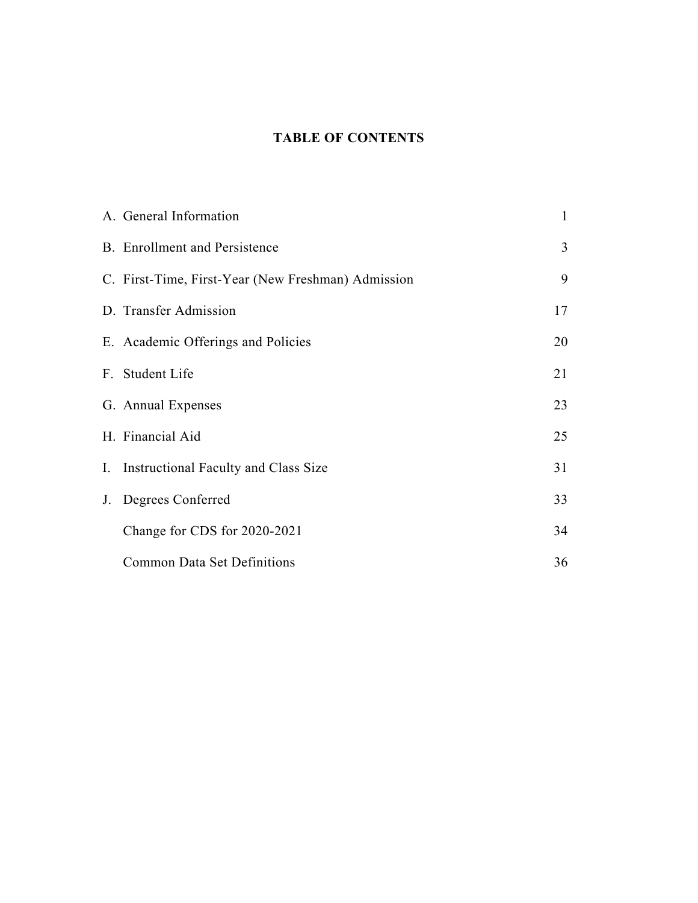### **TABLE OF CONTENTS**

| A. General Information                             | 1              |
|----------------------------------------------------|----------------|
| <b>B.</b> Enrollment and Persistence               | $\overline{3}$ |
| C. First-Time, First-Year (New Freshman) Admission | 9              |
| D. Transfer Admission                              | 17             |
| E. Academic Offerings and Policies                 | 20             |
| F. Student Life                                    | 21             |
| G. Annual Expenses                                 | 23             |
| H. Financial Aid                                   | 25             |
| I. Instructional Faculty and Class Size            | 31             |
| J. Degrees Conferred                               | 33             |
| Change for CDS for 2020-2021                       | 34             |
| <b>Common Data Set Definitions</b>                 | 36             |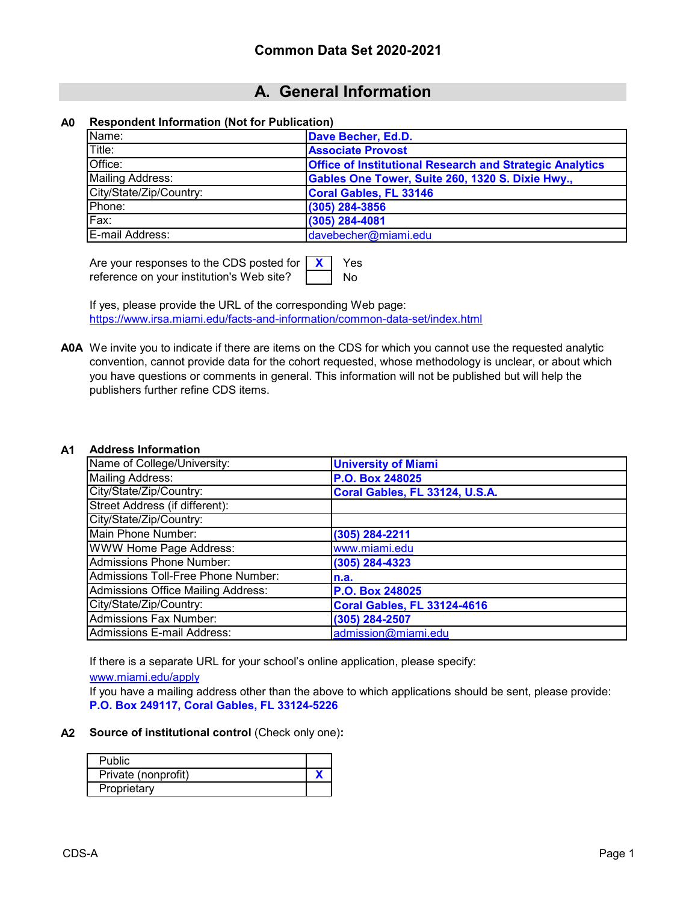## **A. General Information**

#### **A0 Respondent Information (Not for Publication)**

| Name:                   | Dave Becher, Ed.D.                                              |
|-------------------------|-----------------------------------------------------------------|
| Title:                  | <b>Associate Provost</b>                                        |
| Office:                 | <b>Office of Institutional Research and Strategic Analytics</b> |
| Mailing Address:        | Gables One Tower, Suite 260, 1320 S. Dixie Hwy.,                |
| City/State/Zip/Country: | <b>Coral Gables, FL 33146</b>                                   |
| Phone:                  | (305) 284-3856                                                  |
| Fax:                    | (305) 284-4081                                                  |
| <b>IE-mail Address:</b> | davebecher@miami.edu                                            |

**X** Yes No Are your responses to the CDS posted for reference on your institution's Web site?

If yes, please provide the URL of the corresponding Web page: [https://www.irsa.miami.edu/facts-and-inform](https://www.irsa.miami.edu/facts-and-information/common-data-set/index.html)ation/common-data-set/index.html

**A0A** We invite you to indicate if there are items on the CDS for which you cannot use the requested analytic convention, cannot provide data for the cohort requested, whose methodology is unclear, or about which you have questions or comments in general. This information will not be published but will help the publishers further refine CDS items.

#### **A1 Address Information**

| Name of College/University:               | <b>University of Miami</b>         |
|-------------------------------------------|------------------------------------|
| <b>Mailing Address:</b>                   | P.O. Box 248025                    |
| City/State/Zip/Country:                   | Coral Gables, FL 33124, U.S.A.     |
| Street Address (if different):            |                                    |
| City/State/Zip/Country:                   |                                    |
| Main Phone Number:                        | (305) 284-2211                     |
| <b>WWW Home Page Address:</b>             | www.miami.edu                      |
| <b>Admissions Phone Number:</b>           | (305) 284-4323                     |
| Admissions Toll-Free Phone Number:        | n.a.                               |
| <b>Admissions Office Mailing Address:</b> | P.O. Box 248025                    |
| City/State/Zip/Country:                   | <b>Coral Gables, FL 33124-4616</b> |
| <b>Admissions Fax Number:</b>             | (305) 284-2507                     |
| <b>Admissions E-mail Address:</b>         | admission@miami.edu                |

If there is a separate URL for your school's online application, please specify:

[www.miami.edu/apply](http://www.miami.edu/apply)

If you have a mailing address other than the above to which applications should be sent, please provide: **P.O. Box 249117, Coral Gables, FL 33124-5226**

**A2 Source of institutional control** (Check only one)**:**

| <b>Public</b>       |  |
|---------------------|--|
| Private (nonprofit) |  |
| Proprietary         |  |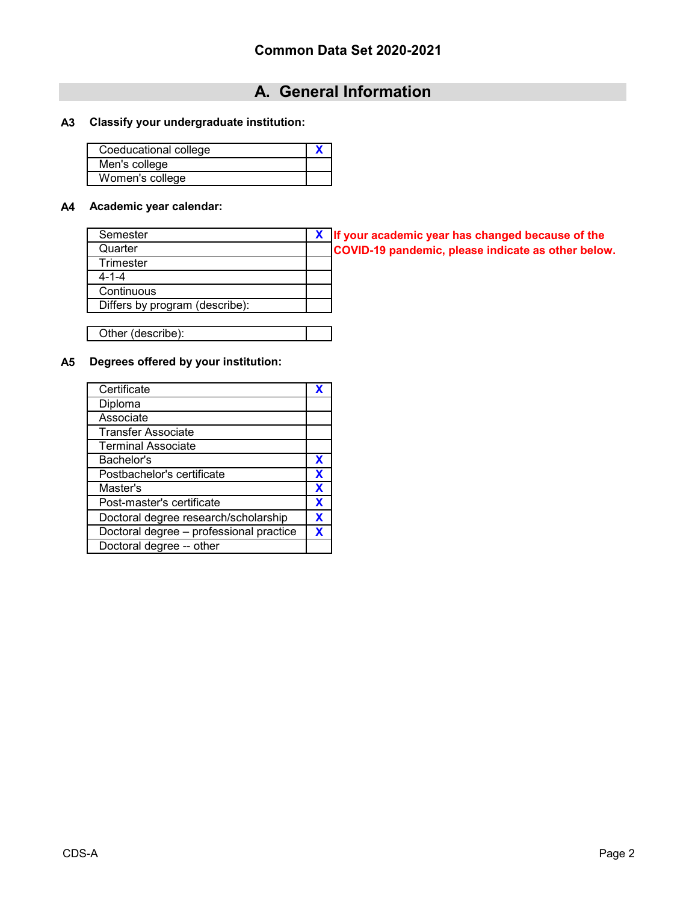# **A. General Information**

### **A3 Classify your undergraduate institution:**

| Coeducational college |  |
|-----------------------|--|
| Men's college         |  |
| Women's college       |  |

#### **A4 Academic year calendar:**

| Semester                       | X If your academic year has changed because of the |
|--------------------------------|----------------------------------------------------|
| Quarter                        | COVID-19 pandemic, please indicate as other below. |
| Trimester                      |                                                    |
| $4 - 1 - 4$                    |                                                    |
| Continuous                     |                                                    |
| Differs by program (describe): |                                                    |
|                                |                                                    |

Other (describe):

### **A5 Degrees offered by your institution:**

| Certificate                             |   |
|-----------------------------------------|---|
| Diploma                                 |   |
| Associate                               |   |
| <b>Transfer Associate</b>               |   |
| <b>Terminal Associate</b>               |   |
| Bachelor's                              | X |
| Postbachelor's certificate              | X |
| Master's                                | X |
| Post-master's certificate               | X |
| Doctoral degree research/scholarship    | X |
| Doctoral degree - professional practice | X |
| Doctoral degree -- other                |   |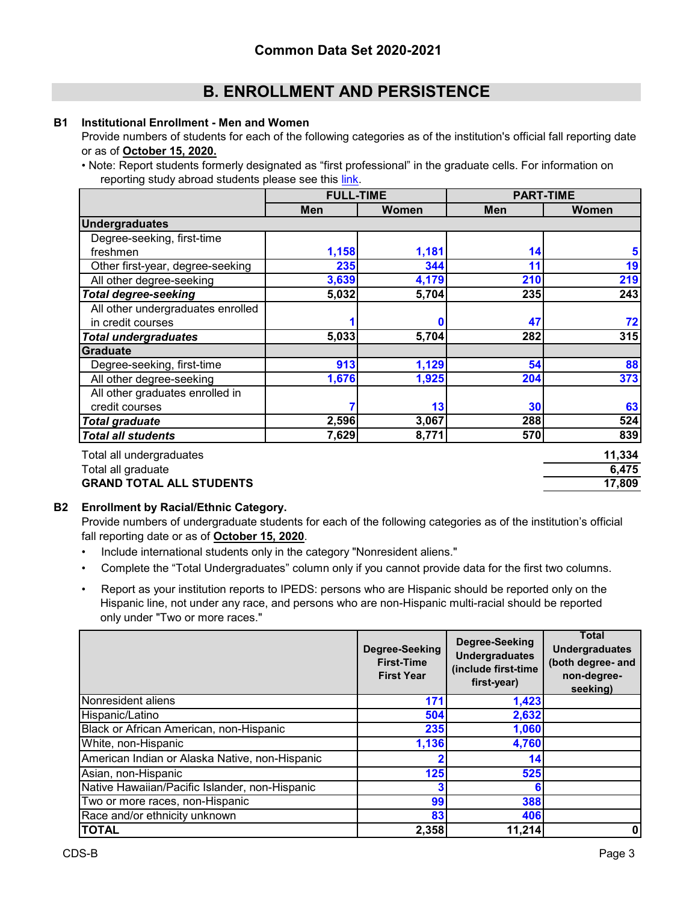#### **B1 Institutional Enrollment - Men and Women**

Provide numbers of students for each of the following categories as of the institution's official fall reporting date or as of **October 15, 2020.**

[<sup>•</sup> Note: Report students formerly des](https://nces.ed.gov/ipeds/pdf/Reporting_Study_Abroad%20Students_5.31.17.pdf)ignated as "first professional" in the graduate cells. For information on  [reporting study abroad students please see this link.](https://nces.ed.gov/ipeds/pdf/Reporting_Study_Abroad%20Students_5.31.17.pdf)

|                                   | <b>FULL-TIME</b> |       | <b>PART-TIME</b> |        |
|-----------------------------------|------------------|-------|------------------|--------|
|                                   | <b>Men</b>       | Women | Men              | Women  |
| <b>Undergraduates</b>             |                  |       |                  |        |
| Degree-seeking, first-time        |                  |       |                  |        |
| freshmen                          | 1,158            | 1,181 | 14               | 5      |
| Other first-year, degree-seeking  | 235              | 344   | 11               | 19     |
| All other degree-seeking          | 3,639            | 4,179 | 210              | 219    |
| <b>Total degree-seeking</b>       | 5,032            | 5,704 | 235              | 243    |
| All other undergraduates enrolled |                  |       |                  |        |
| in credit courses                 |                  | Ω     | 47               | 72     |
| <b>Total undergraduates</b>       | 5,033            | 5,704 | 282              | 315    |
| Graduate                          |                  |       |                  |        |
| Degree-seeking, first-time        | 913              | 1,129 | 54               | 88     |
| All other degree-seeking          | 1,676            | 1,925 | 204              | 373    |
| All other graduates enrolled in   |                  |       |                  |        |
| credit courses                    |                  | 13    | 30               | 63     |
| <b>Total graduate</b>             | 2,596            | 3,067 | 288              | 524    |
| <b>Total all students</b>         | 7,629            | 8,771 | 570              | 839    |
| Total all undergraduates          |                  |       |                  | 11,334 |
| Total all graduate                |                  |       |                  | 6,475  |

# **GRAND TOTAL ALL STUDENTS 17,809**

#### **B2 Enrollment by Racial/Ethnic Category.**

Provide numbers of undergraduate students for each of the following categories as of the institution's official fall reporting date or as of **October 15, 2020**.

- Include international students only in the category "Nonresident aliens."
- Complete the "Total Undergraduates" column only if you cannot provide data for the first two columns.
- Report as your institution reports to IPEDS: persons who are Hispanic should be reported only on the Hispanic line, not under any race, and persons who are non-Hispanic multi-racial should be reported only under "Two or more races."

|                                                | Degree-Seeking<br><b>First-Time</b><br><b>First Year</b> | Degree-Seeking<br><b>Undergraduates</b><br>(include first-time<br>first-year) | <b>Total</b><br><b>Undergraduates</b><br>(both degree- and<br>non-degree-<br>seeking) |
|------------------------------------------------|----------------------------------------------------------|-------------------------------------------------------------------------------|---------------------------------------------------------------------------------------|
| Nonresident aliens                             | 171                                                      | 1,423                                                                         |                                                                                       |
| Hispanic/Latino                                | 504                                                      | 2,632                                                                         |                                                                                       |
| Black or African American, non-Hispanic        | 235                                                      | 1,060                                                                         |                                                                                       |
| White, non-Hispanic                            | 1,136                                                    | 4,760                                                                         |                                                                                       |
| American Indian or Alaska Native, non-Hispanic | ŋ                                                        | 14                                                                            |                                                                                       |
| Asian, non-Hispanic                            | 125                                                      | 525                                                                           |                                                                                       |
| Native Hawaiian/Pacific Islander, non-Hispanic | 3                                                        |                                                                               |                                                                                       |
| Two or more races, non-Hispanic                | 99                                                       | 388                                                                           |                                                                                       |
| Race and/or ethnicity unknown                  | 83                                                       | 406                                                                           |                                                                                       |
| <b>TOTAL</b>                                   | 2,358                                                    | 11,214                                                                        | 0                                                                                     |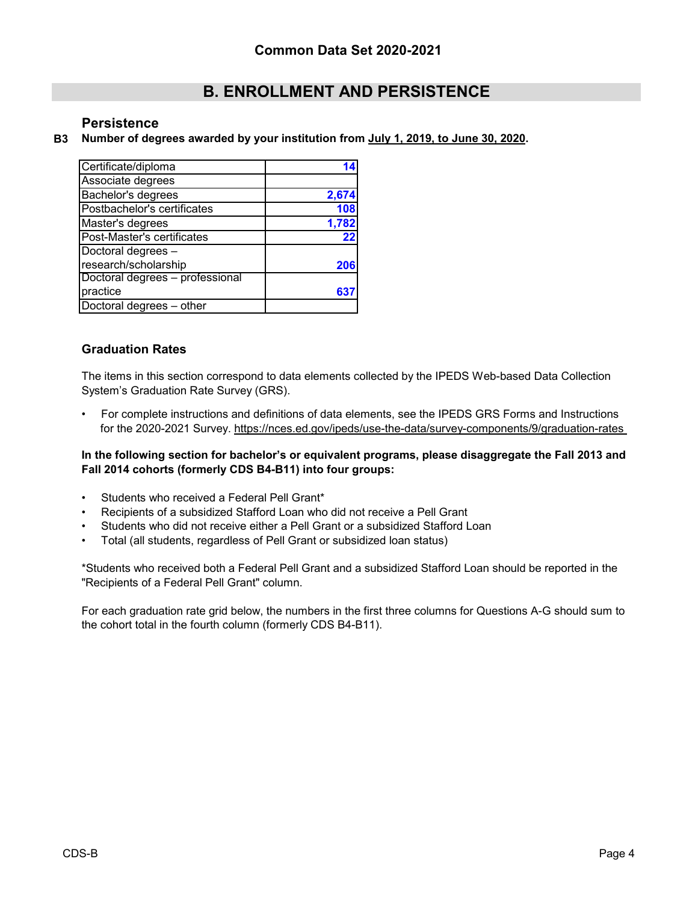### **Persistence**

#### **B3 Number of degrees awarded by your institution from July 1, 2019, to June 30, 2020.**

| Certificate/diploma             |       |
|---------------------------------|-------|
| Associate degrees               |       |
| Bachelor's degrees              | 2,674 |
| Postbachelor's certificates     | 108   |
| Master's degrees                | 1,782 |
| Post-Master's certificates      | 22    |
| Doctoral degrees -              |       |
| research/scholarship            | 206   |
| Doctoral degrees - professional |       |
| practice                        |       |
| Doctoral degrees - other        |       |

### **Graduation Rates**

The items in this section correspond to data elements collected by the IPEDS Web-based Data Collection System's Graduation Rate Survey (GRS).

• For complete instructions and definitions of data elements, see the IPEDS GRS Forms and Instructions for the 2020-2021 Survey. https://nces.ed.gov/ipeds/use-the-data/survey-components/9/graduation-rates

#### **In the following section for bachelor's or equivalent programs, please disaggregate the Fall 2013 and Fall 2014 cohorts (formerly CDS B4-B11) into four groups:**

- Students who received a Federal Pell Grant\*
- Recipients of a subsidized Stafford Loan who did not receive a Pell Grant
- Students who did not receive either a Pell Grant or a subsidized Stafford Loan
- Total (all students, regardless of Pell Grant or subsidized loan status)

\*Students who received both a Federal Pell Grant and a subsidized Stafford Loan should be reported in the "Recipients of a Federal Pell Grant" column.

For each graduation rate grid below, the numbers in the first three columns for Questions A-G should sum to the cohort total in the fourth column (formerly CDS B4-B11).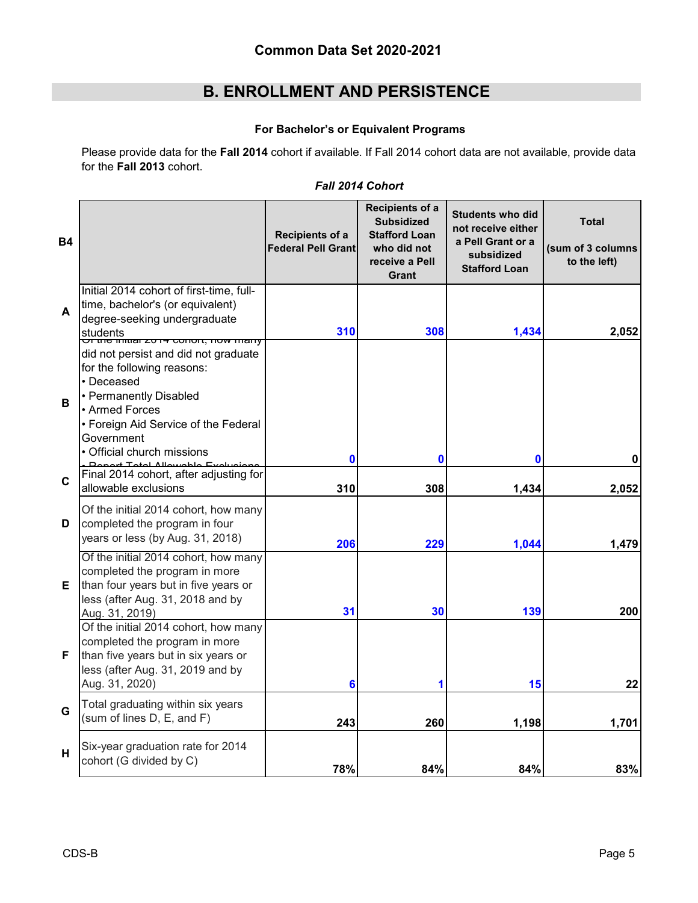### **For Bachelor's or Equivalent Programs**

Please provide data for the **Fall 2014** cohort if available. If Fall 2014 cohort data are not available, provide data for the **Fall 2013** cohort.

### *Fall 2014 Cohort*

| <b>B4</b> |                                                                                                                                                                                                                          | Recipients of a<br><b>Federal Pell Grant</b> | Recipients of a<br><b>Subsidized</b><br><b>Stafford Loan</b><br>who did not<br>receive a Pell<br>Grant | <b>Students who did</b><br>not receive either<br>a Pell Grant or a<br>subsidized<br><b>Stafford Loan</b> | <b>Total</b><br>(sum of 3 columns<br>to the left) |
|-----------|--------------------------------------------------------------------------------------------------------------------------------------------------------------------------------------------------------------------------|----------------------------------------------|--------------------------------------------------------------------------------------------------------|----------------------------------------------------------------------------------------------------------|---------------------------------------------------|
| A         | Initial 2014 cohort of first-time, full-<br>time, bachelor's (or equivalent)<br>degree-seeking undergraduate<br>students<br><del>Or the linual zon4 conort, now many</del>                                               | 310                                          | 308                                                                                                    | 1,434                                                                                                    | 2,052                                             |
| в         | did not persist and did not graduate<br>for the following reasons:<br>• Deceased<br>• Permanently Disabled<br>• Armed Forces<br>• Foreign Aid Service of the Federal<br>Government<br>$\bullet$ Official church missions | $\bf{0}$                                     | 0                                                                                                      | $\bf{0}$                                                                                                 | 0                                                 |
| C         | + Total Allowabl<br>Final 2014 cohort, after adjusting for<br>allowable exclusions                                                                                                                                       | 310                                          | 308                                                                                                    | 1,434                                                                                                    | 2,052                                             |
| D         | Of the initial 2014 cohort, how many<br>completed the program in four<br>years or less (by Aug. 31, 2018)                                                                                                                | 206                                          | 229                                                                                                    | 1,044                                                                                                    | 1,479                                             |
| E.        | Of the initial 2014 cohort, how many<br>completed the program in more<br>than four years but in five years or<br>less (after Aug. 31, 2018 and by<br>Aug. 31, 2019)                                                      | 31                                           | 30                                                                                                     | 139                                                                                                      | 200                                               |
| F         | Of the initial 2014 cohort, how many<br>completed the program in more<br>than five years but in six years or<br>less (after Aug. 31, 2019 and by<br>Aug. 31, 2020)                                                       | 6                                            |                                                                                                        | 15                                                                                                       | 22                                                |
| G         | Total graduating within six years<br>(sum of lines D, E, and F)                                                                                                                                                          | 243                                          | 260                                                                                                    | 1,198                                                                                                    | 1,701                                             |
| H         | Six-year graduation rate for 2014<br>cohort (G divided by C)                                                                                                                                                             | 78%                                          | 84%                                                                                                    | 84%                                                                                                      | 83%                                               |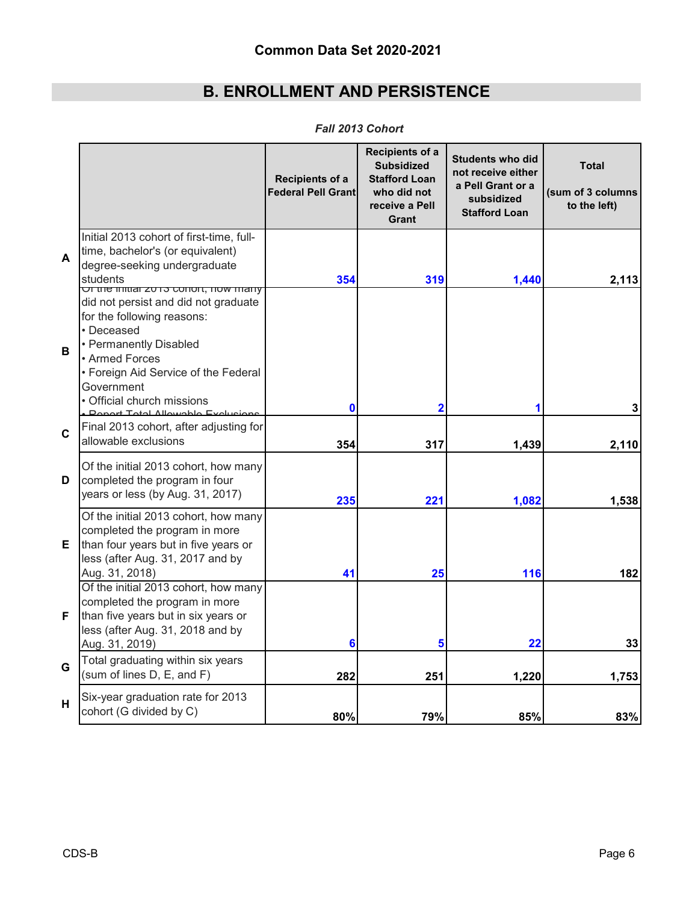|   |                                                                                                                                                                                                                                                                                                   | Recipients of a<br>Federal Pell Grant | Recipients of a<br><b>Subsidized</b><br><b>Stafford Loan</b><br>who did not<br>receive a Pell<br>Grant | <b>Students who did</b><br>not receive either<br>a Pell Grant or a<br>subsidized<br><b>Stafford Loan</b> | <b>Total</b><br>(sum of 3 columns<br>to the left) |
|---|---------------------------------------------------------------------------------------------------------------------------------------------------------------------------------------------------------------------------------------------------------------------------------------------------|---------------------------------------|--------------------------------------------------------------------------------------------------------|----------------------------------------------------------------------------------------------------------|---------------------------------------------------|
| A | Initial 2013 cohort of first-time, full-<br>time, bachelor's (or equivalent)<br>degree-seeking undergraduate<br>students                                                                                                                                                                          | 354                                   | 319                                                                                                    | 1,440                                                                                                    | 2,113                                             |
| B | <u>Ur the initial zu is conort, now many</u><br>did not persist and did not graduate<br>for the following reasons:<br>• Deceased<br>• Permanently Disabled<br>• Armed Forces<br>• Foreign Aid Service of the Federal<br>Government<br>· Official church missions<br><b>Donort Total Allowable</b> | 0                                     | $\overline{\mathbf{2}}$                                                                                |                                                                                                          | 3                                                 |
| C | Final 2013 cohort, after adjusting for<br>allowable exclusions                                                                                                                                                                                                                                    | 354                                   | 317                                                                                                    | 1,439                                                                                                    | 2,110                                             |
| D | Of the initial 2013 cohort, how many<br>completed the program in four<br>years or less (by Aug. 31, 2017)                                                                                                                                                                                         | 235                                   | 221                                                                                                    | 1,082                                                                                                    | 1,538                                             |
| Е | Of the initial 2013 cohort, how many<br>completed the program in more<br>than four years but in five years or<br>less (after Aug. 31, 2017 and by<br>Aug. 31, 2018)                                                                                                                               | 41                                    | 25                                                                                                     | 116                                                                                                      | 182                                               |
| F | Of the initial 2013 cohort, how many<br>completed the program in more<br>than five years but in six years or<br>less (after Aug. 31, 2018 and by<br>Aug. 31, 2019)                                                                                                                                | 6                                     | 5                                                                                                      | 22                                                                                                       | 33                                                |
| G | Total graduating within six years<br>(sum of lines D, E, and F)                                                                                                                                                                                                                                   | 282                                   | 251                                                                                                    | 1,220                                                                                                    | 1,753                                             |
| H | Six-year graduation rate for 2013<br>cohort (G divided by C)                                                                                                                                                                                                                                      | 80%                                   | 79%                                                                                                    | 85%                                                                                                      | 83%                                               |

*Fall 2013 Cohort*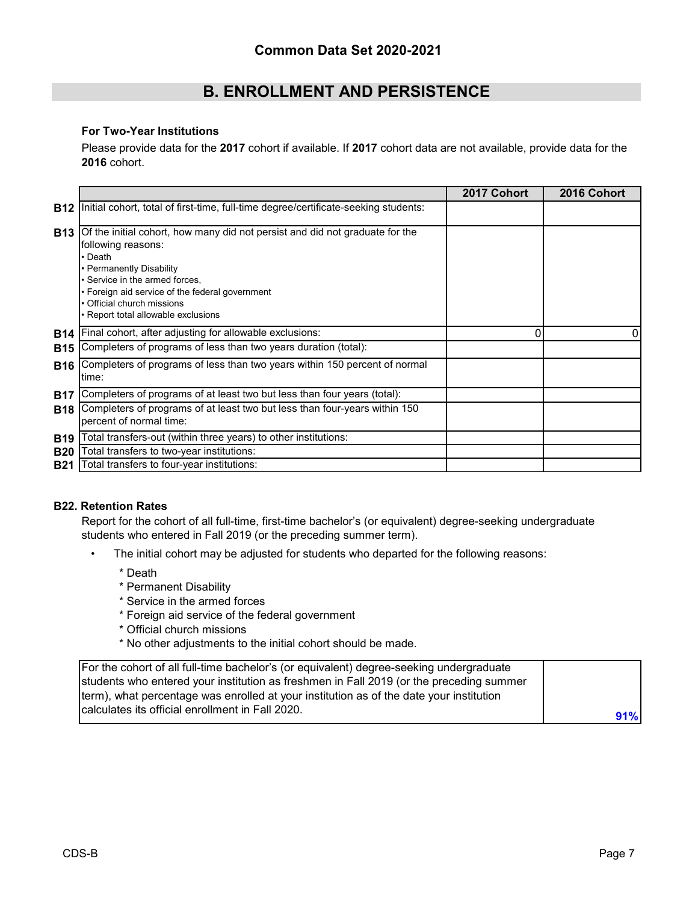#### **For Two-Year Institutions**

Please provide data for the **2017** cohort if available. If **2017** cohort data are not available, provide data for the **2016** cohort.

|            |                                                                                                                                                                                                                                                                                                     | 2017 Cohort | 2016 Cohort |
|------------|-----------------------------------------------------------------------------------------------------------------------------------------------------------------------------------------------------------------------------------------------------------------------------------------------------|-------------|-------------|
| <b>B12</b> | Initial cohort, total of first-time, full-time degree/certificate-seeking students:                                                                                                                                                                                                                 |             |             |
| <b>B13</b> | Of the initial cohort, how many did not persist and did not graduate for the<br>following reasons:<br>• Death<br>• Permanently Disability<br>· Service in the armed forces,<br>• Foreign aid service of the federal government<br>• Official church missions<br>• Report total allowable exclusions |             |             |
| <b>B14</b> | Final cohort, after adjusting for allowable exclusions:                                                                                                                                                                                                                                             | 0           | 0           |
| <b>B15</b> | Completers of programs of less than two years duration (total):                                                                                                                                                                                                                                     |             |             |
| <b>B16</b> | Completers of programs of less than two years within 150 percent of normal<br>time:                                                                                                                                                                                                                 |             |             |
| <b>B17</b> | Completers of programs of at least two but less than four years (total):                                                                                                                                                                                                                            |             |             |
| <b>B18</b> | Completers of programs of at least two but less than four-years within 150<br>percent of normal time:                                                                                                                                                                                               |             |             |
| <b>B19</b> | Total transfers-out (within three years) to other institutions:                                                                                                                                                                                                                                     |             |             |
| <b>B20</b> | Total transfers to two-year institutions:                                                                                                                                                                                                                                                           |             |             |
| <b>B21</b> | Total transfers to four-year institutions:                                                                                                                                                                                                                                                          |             |             |

#### **B22. Retention Rates**

Report for the cohort of all full-time, first-time bachelor's (or equivalent) degree-seeking undergraduate students who entered in Fall 2019 (or the preceding summer term).

- The initial cohort may be adjusted for students who departed for the following reasons:
	- \* Death
	- \* Permanent Disability
	- \* Service in the armed forces
	- \* Foreign aid service of the federal government
	- \* Official church missions
	- \* No other adjustments to the initial cohort should be made.

| For the cohort of all full-time bachelor's (or equivalent) degree-seeking undergraduate  |     |
|------------------------------------------------------------------------------------------|-----|
| students who entered your institution as freshmen in Fall 2019 (or the preceding summer  |     |
| (term), what percentage was enrolled at your institution as of the date your institution |     |
| Icalculates its official enrollment in Fall 2020.                                        | 91% |
|                                                                                          |     |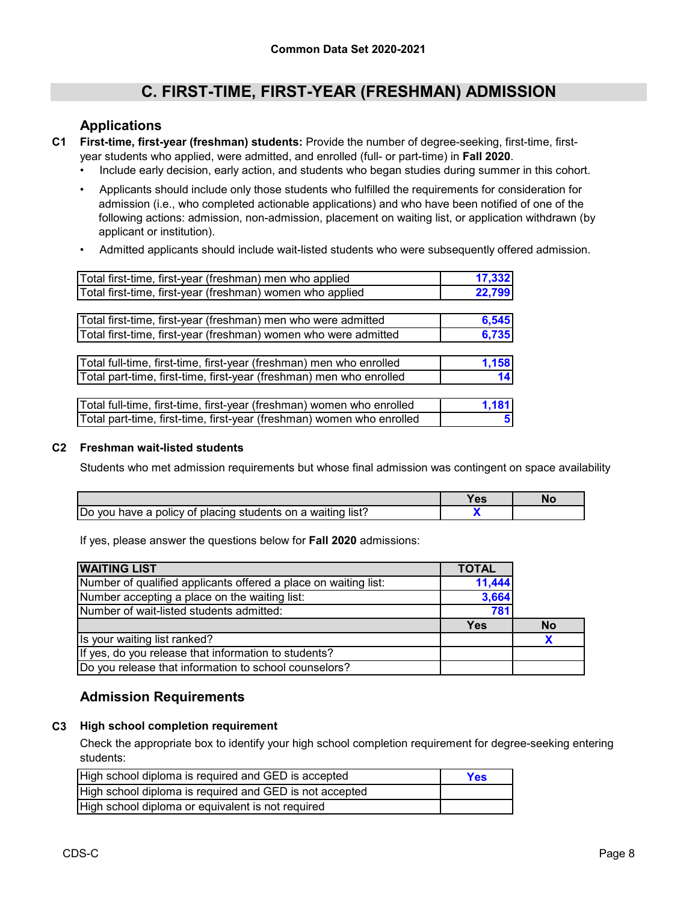### **Applications**

- **C1 First-time, first-year (freshman) students:** Provide the number of degree-seeking, first-time, firstyear students who applied, were admitted, and enrolled (full- or part-time) in **Fall 2020**.
	- Include early decision, early action, and students who began studies during summer in this cohort.
	- Applicants should include only those students who fulfilled the requirements for consideration for admission (i.e., who completed actionable applications) and who have been notified of one of the following actions: admission, non-admission, placement on waiting list, or application withdrawn (by applicant or institution).
	- Admitted applicants should include wait-listed students who were subsequently offered admission.

| Total first-time, first-year (freshman) men who applied               | 17,332 |
|-----------------------------------------------------------------------|--------|
| Total first-time, first-year (freshman) women who applied             | 22,799 |
|                                                                       |        |
| Total first-time, first-year (freshman) men who were admitted         | 6,545  |
| Total first-time, first-year (freshman) women who were admitted       | 6,735  |
|                                                                       |        |
| Total full-time, first-time, first-year (freshman) men who enrolled   | 1,158  |
| Total part-time, first-time, first-year (freshman) men who enrolled   | 14     |
|                                                                       |        |
| Total full-time, first-time, first-year (freshman) women who enrolled | 1,181  |
| Total part-time, first-time, first-year (freshman) women who enrolled |        |

#### **C2 Freshman wait-listed students**

Students who met admission requirements but whose final admission was contingent on space availability

|                                                                                                  | -- |  |
|--------------------------------------------------------------------------------------------------|----|--|
| Do<br><sup>.</sup> placing students on a waiting<br>policy of<br>* list⊹<br><b>VOU</b><br>have a |    |  |

If yes, please answer the questions below for **Fall 2020** admissions:

| <b>WAITING LIST</b>                                             | <b>TOTAL</b> |           |
|-----------------------------------------------------------------|--------------|-----------|
| Number of qualified applicants offered a place on waiting list: | 11,444       |           |
| Number accepting a place on the waiting list:                   | 3,664        |           |
| Number of wait-listed students admitted:                        | 781          |           |
|                                                                 | <b>Yes</b>   | <b>No</b> |
| Is your waiting list ranked?                                    |              |           |
| If yes, do you release that information to students?            |              |           |
| Do you release that information to school counselors?           |              |           |

### **Admission Requirements**

#### **C3 High school completion requirement**

Check the appropriate box to identify your high school completion requirement for degree-seeking entering students:

| High school diploma is required and GED is accepted     | Yes |
|---------------------------------------------------------|-----|
| High school diploma is required and GED is not accepted |     |
| High school diploma or equivalent is not required       |     |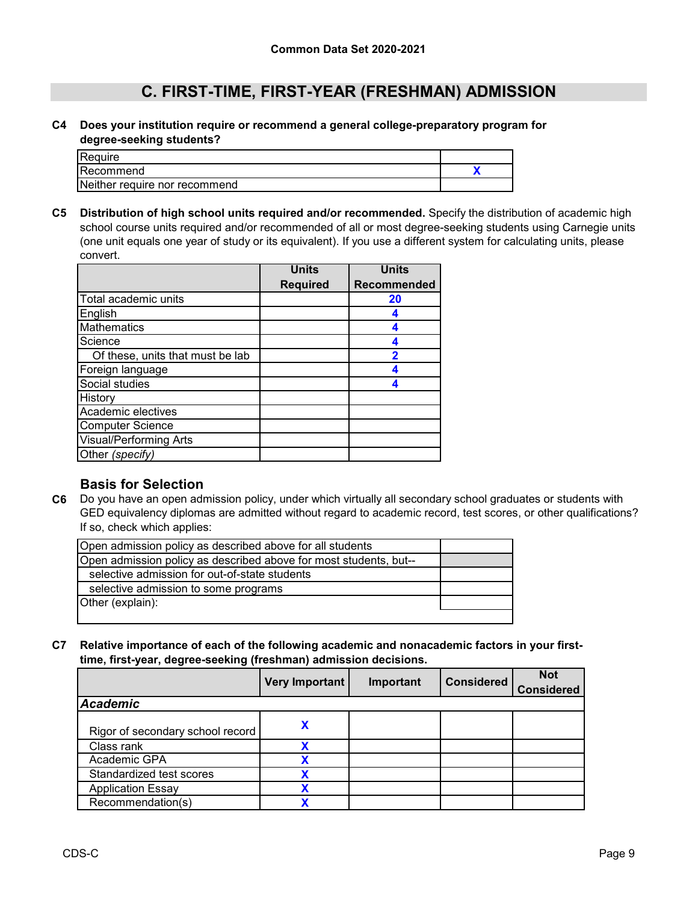#### **C4 Does your institution require or recommend a general college-preparatory program for degree-seeking students?**

| Require                       |  |
|-------------------------------|--|
| Recommend                     |  |
| Neither require nor recommend |  |

**C5 Distribution of high school units required and/or recommended.** Specify the distribution of academic high school course units required and/or recommended of all or most degree-seeking students using Carnegie units (one unit equals one year of study or its equivalent). If you use a different system for calculating units, please convert.

|                                  | <b>Units</b>    | <b>Units</b>            |
|----------------------------------|-----------------|-------------------------|
|                                  | <b>Required</b> | Recommended             |
| Total academic units             |                 | 20                      |
| English                          |                 | 4                       |
| <b>Mathematics</b>               |                 |                         |
| Science                          |                 | 4                       |
| Of these, units that must be lab |                 | $\overline{\mathbf{2}}$ |
| Foreign language                 |                 |                         |
| Social studies                   |                 |                         |
| History                          |                 |                         |
| Academic electives               |                 |                         |
| <b>Computer Science</b>          |                 |                         |
| <b>Visual/Performing Arts</b>    |                 |                         |
| Other (specify)                  |                 |                         |

### **Basis for Selection**

**C6** Do you have an open admission policy, under which virtually all secondary school graduates or students with GED equivalency diplomas are admitted without regard to academic record, test scores, or other qualifications? If so, check which applies:

| Open admission policy as described above for all students         |  |
|-------------------------------------------------------------------|--|
| Open admission policy as described above for most students, but-- |  |
| selective admission for out-of-state students                     |  |
| selective admission to some programs                              |  |
| Other (explain):                                                  |  |
|                                                                   |  |

#### **C7 Relative importance of each of the following academic and nonacademic factors in your firsttime, first-year, degree-seeking (freshman) admission decisions.**

|                                  | <b>Very Important</b> | Important | <b>Considered</b> | <b>Not</b><br><b>Considered</b> |
|----------------------------------|-----------------------|-----------|-------------------|---------------------------------|
| <b>Academic</b>                  |                       |           |                   |                                 |
| Rigor of secondary school record |                       |           |                   |                                 |
| Class rank                       |                       |           |                   |                                 |
| Academic GPA                     |                       |           |                   |                                 |
| Standardized test scores         |                       |           |                   |                                 |
| <b>Application Essay</b>         |                       |           |                   |                                 |
| Recommendation(s)                |                       |           |                   |                                 |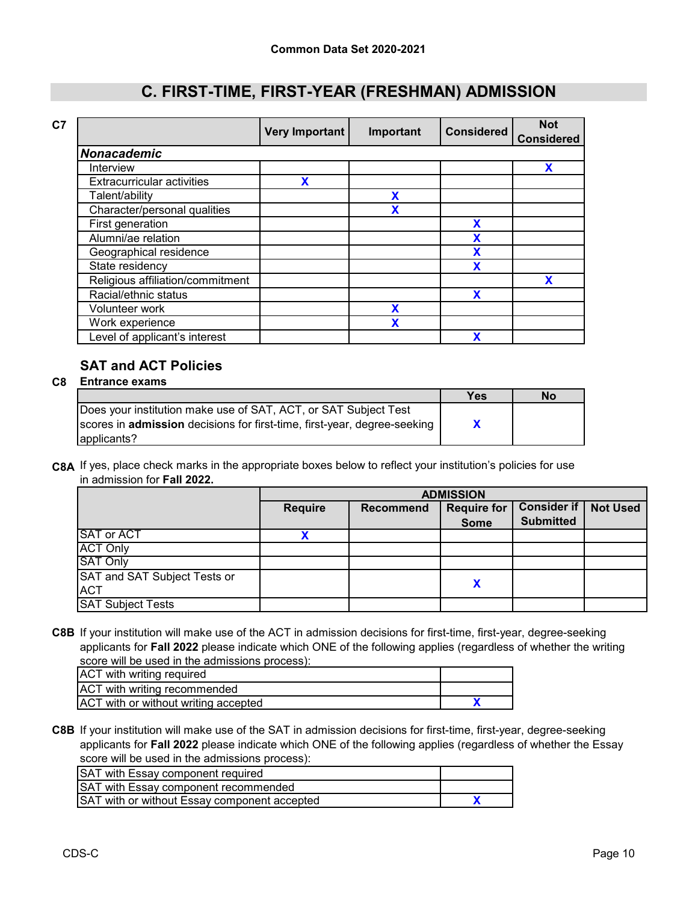|                                   | <b>Very Important</b> | Important | <b>Considered</b> | <b>Not</b><br><b>Considered</b> |
|-----------------------------------|-----------------------|-----------|-------------------|---------------------------------|
| <b>Nonacademic</b>                |                       |           |                   |                                 |
| Interview                         |                       |           |                   | X                               |
| <b>Extracurricular activities</b> |                       |           |                   |                                 |
| Talent/ability                    |                       | X         |                   |                                 |
| Character/personal qualities      |                       | χ         |                   |                                 |
| First generation                  |                       |           | X                 |                                 |
| Alumni/ae relation                |                       |           | X                 |                                 |
| Geographical residence            |                       |           | X                 |                                 |
| State residency                   |                       |           | X                 |                                 |
| Religious affiliation/commitment  |                       |           |                   | X                               |
| Racial/ethnic status              |                       |           | X                 |                                 |
| Volunteer work                    |                       | X         |                   |                                 |
| Work experience                   |                       | χ         |                   |                                 |
| Level of applicant's interest     |                       |           | X                 |                                 |

### **SAT and ACT Policies**

#### **C8 Entrance exams**

|                                                                                 | Yes | No |
|---------------------------------------------------------------------------------|-----|----|
| Does your institution make use of SAT, ACT, or SAT Subject Test                 |     |    |
| scores in <b>admission</b> decisions for first-time, first-year, degree-seeking |     |    |
| applicants?                                                                     |     |    |

**C8A** If yes, place check marks in the appropriate boxes below to reflect your institution's policies for use in admission for **Fall 2022.**

|                              | <b>ADMISSION</b> |                  |                    |                                        |                 |
|------------------------------|------------------|------------------|--------------------|----------------------------------------|-----------------|
|                              | <b>Require</b>   | <b>Recommend</b> | <b>Require for</b> | <b>Consider if</b><br><b>Submitted</b> | <b>Not Used</b> |
|                              |                  |                  | <b>Some</b>        |                                        |                 |
| <b>SAT or ACT</b>            |                  |                  |                    |                                        |                 |
| <b>ACT Only</b>              |                  |                  |                    |                                        |                 |
| <b>SAT Only</b>              |                  |                  |                    |                                        |                 |
| SAT and SAT Subject Tests or |                  |                  |                    |                                        |                 |
| <b>ACT</b>                   |                  |                  | χ                  |                                        |                 |
| <b>SAT Subject Tests</b>     |                  |                  |                    |                                        |                 |

**C8B** If your institution will make use of the ACT in admission decisions for first-time, first-year, degree-seeking applicants for **Fall 2022** please indicate which ONE of the following applies (regardless of whether the writing score will be used in the admissions process):

| ACT with writing required            |  |
|--------------------------------------|--|
| ACT with writing recommended         |  |
| ACT with or without writing accepted |  |

**C8B** If your institution will make use of the SAT in admission decisions for first-time, first-year, degree-seeking applicants for **Fall 2022** please indicate which ONE of the following applies (regardless of whether the Essay score will be used in the admissions process):

| SAT with Essay component required            |  |
|----------------------------------------------|--|
| SAT with Essay component recommended         |  |
| SAT with or without Essay component accepted |  |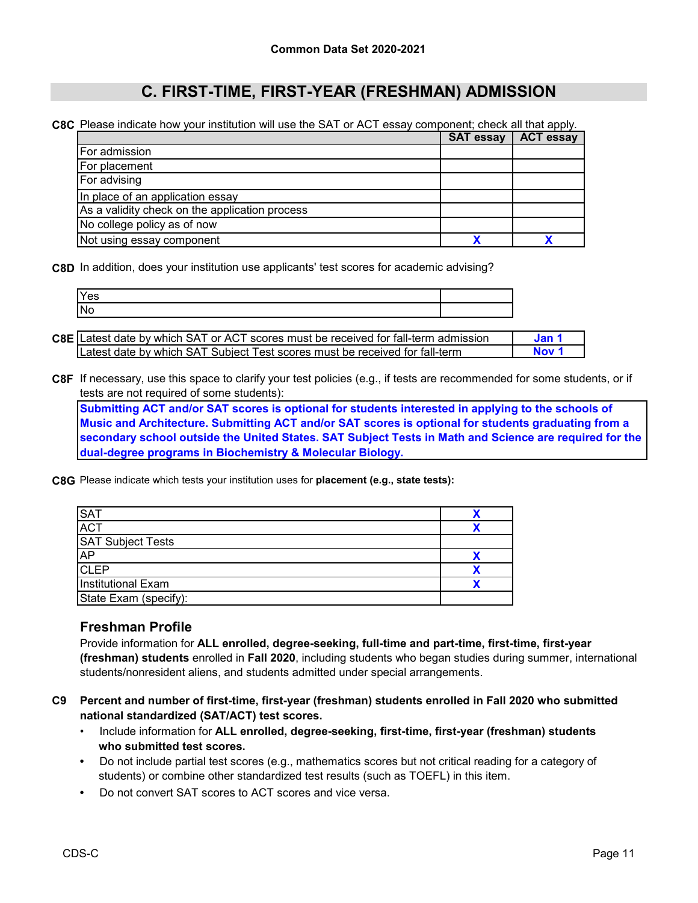**C8C** Please indicate how your institution will use the SAT or ACT essay component; check all that apply.

|                                                | <b>SAT essay</b> | <b>ACT essay</b> |
|------------------------------------------------|------------------|------------------|
| <b>For admission</b>                           |                  |                  |
| For placement                                  |                  |                  |
| <b>For advising</b>                            |                  |                  |
| In place of an application essay               |                  |                  |
| As a validity check on the application process |                  |                  |
| No college policy as of now                    |                  |                  |
| Not using essay component                      |                  |                  |

**C8D** In addition, does your institution use applicants' test scores for academic advising?

| IN | Yes |  |
|----|-----|--|
|    |     |  |

| <b>C8E</b> Latest date by which SAT or ACT scores must be received for fall-term admission | Jan.  |
|--------------------------------------------------------------------------------------------|-------|
| Latest date by which SAT Subject Test scores must be received for fall-term                | Nov ' |

**C8F** If necessary, use this space to clarify your test policies (e.g., if tests are recommended for some students, or if tests are not required of some students):

**Submitting ACT and/or SAT scores is optional for students interested in applying to the schools of Music and Architecture. Submitting ACT and/or SAT scores is optional for students graduating from a secondary school outside the United States. SAT Subject Tests in Math and Science are required for the dual-degree programs in Biochemistry & Molecular Biology.**

**C8G** Please indicate which tests your institution uses for **placement (e.g., state tests):**

| <b>SAT</b>                |  |
|---------------------------|--|
| <b>ACT</b>                |  |
| <b>SAT Subject Tests</b>  |  |
| <b>AP</b>                 |  |
| <b>CLEP</b>               |  |
| <b>Institutional Exam</b> |  |
| State Exam (specify):     |  |

### **Freshman Profile**

Provide information for **ALL enrolled, degree-seeking, full-time and part-time, first-time, first-year (freshman) students** enrolled in **Fall 2020**, including students who began studies during summer, international students/nonresident aliens, and students admitted under special arrangements.

- **C9 Percent and number of first-time, first-year (freshman) students enrolled in Fall 2020 who submitted national standardized (SAT/ACT) test scores.**
	- Include information for **ALL enrolled, degree-seeking, first-time, first-year (freshman) students who submitted test scores.**
	- Do not include partial test scores (e.g., mathematics scores but not critical reading for a category of students) or combine other standardized test results (such as TOEFL) in this item.
	- Do not convert SAT scores to ACT scores and vice versa.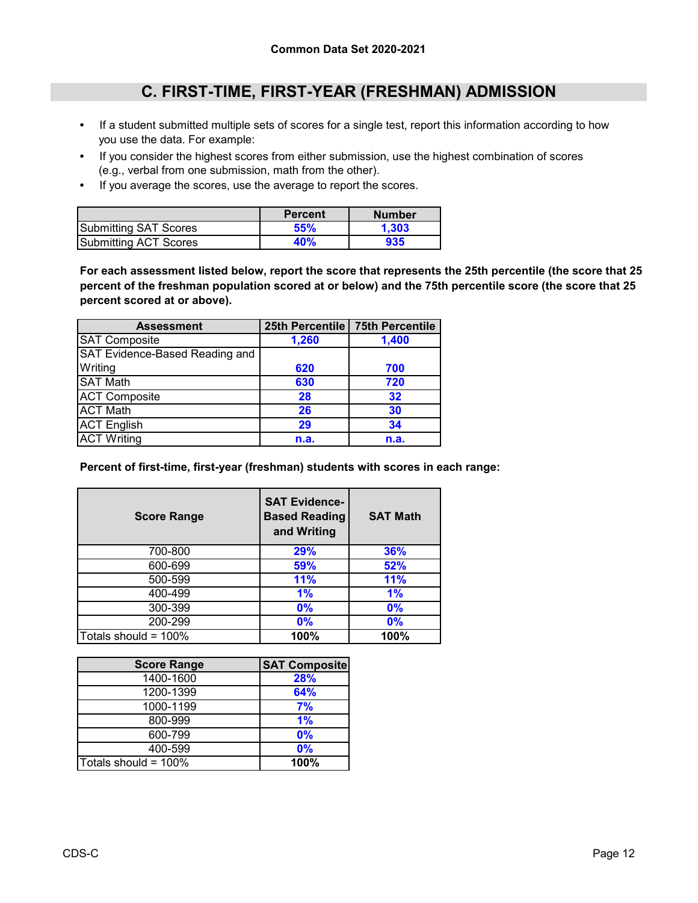- If a student submitted multiple sets of scores for a single test, report this information according to how you use the data. For example:
- If you consider the highest scores from either submission, use the highest combination of scores (e.g., verbal from one submission, math from the other).
- If you average the scores, use the average to report the scores.

|                              | <b>Percent</b> | <b>Number</b> |
|------------------------------|----------------|---------------|
| <b>Submitting SAT Scores</b> | 55%            | 1.303         |
| Submitting ACT Scores        | 40%            | 935           |

**For each assessment listed below, report the score that represents the 25th percentile (the score that 25 percent of the freshman population scored at or below) and the 75th percentile score (the score that 25 percent scored at or above).**

| <b>Assessment</b>              |       | 25th Percentile   75th Percentile |
|--------------------------------|-------|-----------------------------------|
| <b>SAT Composite</b>           | 1,260 | 1,400                             |
| SAT Evidence-Based Reading and |       |                                   |
| Writing                        | 620   | 700                               |
| <b>SAT Math</b>                | 630   | 720                               |
| <b>ACT Composite</b>           | 28    | 32                                |
| <b>ACT Math</b>                | 26    | 30                                |
| <b>ACT English</b>             | 29    | 34                                |
| <b>ACT Writing</b>             | n.a.  | n.a.                              |

**Percent of first-time, first-year (freshman) students with scores in each range:**

| <b>Score Range</b>      | <b>SAT Evidence-</b><br><b>Based Reading</b><br>and Writing | <b>SAT Math</b> |
|-------------------------|-------------------------------------------------------------|-----------------|
| 700-800                 | 29%                                                         | 36%             |
| 600-699                 | 59%                                                         | 52%             |
| 500-599                 | 11%                                                         | <b>11%</b>      |
| 400-499                 | 1%                                                          | 1%              |
| 300-399                 | 0%                                                          | $0\%$           |
| 200-299                 | $0\%$                                                       | 0%              |
| Totals should = $100\%$ | 100%                                                        | 100%            |

| <b>Score Range</b>   | <b>SAT Composite</b> |
|----------------------|----------------------|
| 1400-1600            | 28%                  |
| 1200-1399            | 64%                  |
| 1000-1199            | 7%                   |
| 800-999              | 1%                   |
| 600-799              | 0%                   |
| 400-599              | 0%                   |
| Totals should = 100% | 100%                 |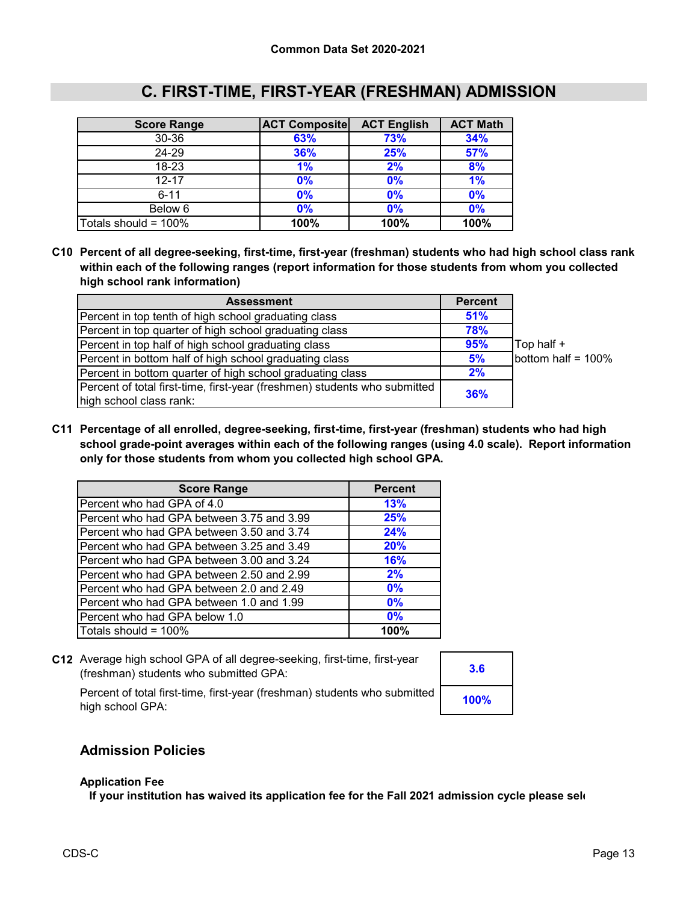| <b>Score Range</b>      | <b>ACT Composite</b> | <b>ACT English</b> | <b>ACT Math</b> |
|-------------------------|----------------------|--------------------|-----------------|
| $30 - 36$               | 63%                  | 73%                | 34%             |
| 24-29                   | 36%                  | 25%                | 57%             |
| 18-23                   | 1%                   | 2%                 | 8%              |
| $12 - 17$               | 0%                   | 0%                 | 1%              |
| $6 - 11$                | 0%                   | 0%                 | 0%              |
| Below 6                 | 0%                   | 0%                 | 0%              |
| Totals should = $100\%$ | 100%                 | 100%               | 100%            |

**C10 Percent of all degree-seeking, first-time, first-year (freshman) students who had high school class rank within each of the following ranges (report information for those students from whom you collected high school rank information)**

| <b>Assessment</b>                                                         | <b>Percent</b> |                    |
|---------------------------------------------------------------------------|----------------|--------------------|
| Percent in top tenth of high school graduating class                      | 51%            |                    |
| Percent in top quarter of high school graduating class                    | 78%            |                    |
| Percent in top half of high school graduating class                       | 95%            | Top half +         |
| Percent in bottom half of high school graduating class                    | 5%             | bottom half = 100% |
| Percent in bottom quarter of high school graduating class                 | 2%             |                    |
| Percent of total first-time, first-year (freshmen) students who submitted |                |                    |
| high school class rank:                                                   | 36%            |                    |

**C11 Percentage of all enrolled, degree-seeking, first-time, first-year (freshman) students who had high school grade-point averages within each of the following ranges (using 4.0 scale). Report information only for those students from whom you collected high school GPA.**

| <b>Score Range</b>                        | <b>Percent</b> |
|-------------------------------------------|----------------|
| Percent who had GPA of 4.0                | 13%            |
| Percent who had GPA between 3.75 and 3.99 | 25%            |
| Percent who had GPA between 3.50 and 3.74 | 24%            |
| Percent who had GPA between 3.25 and 3.49 | 20%            |
| Percent who had GPA between 3.00 and 3.24 | <b>16%</b>     |
| Percent who had GPA between 2.50 and 2.99 | 2%             |
| Percent who had GPA between 2.0 and 2.49  | 0%             |
| Percent who had GPA between 1.0 and 1.99  | 0%             |
| Percent who had GPA below 1.0             | 0%             |
| Totals should = 100%                      | 100%           |

**C12** Average high school GPA of all degree-seeking, first-time, first-year (freshman) students who submitted GPA:

| 3.6  |  |
|------|--|
| 100% |  |

Percent of total first-time, first-year (freshman) students who submitted high school GPA:

### **Admission Policies**

#### **Application Fee**

**If your institution has waived its application fee for the Fall 2021 admission cycle please sele**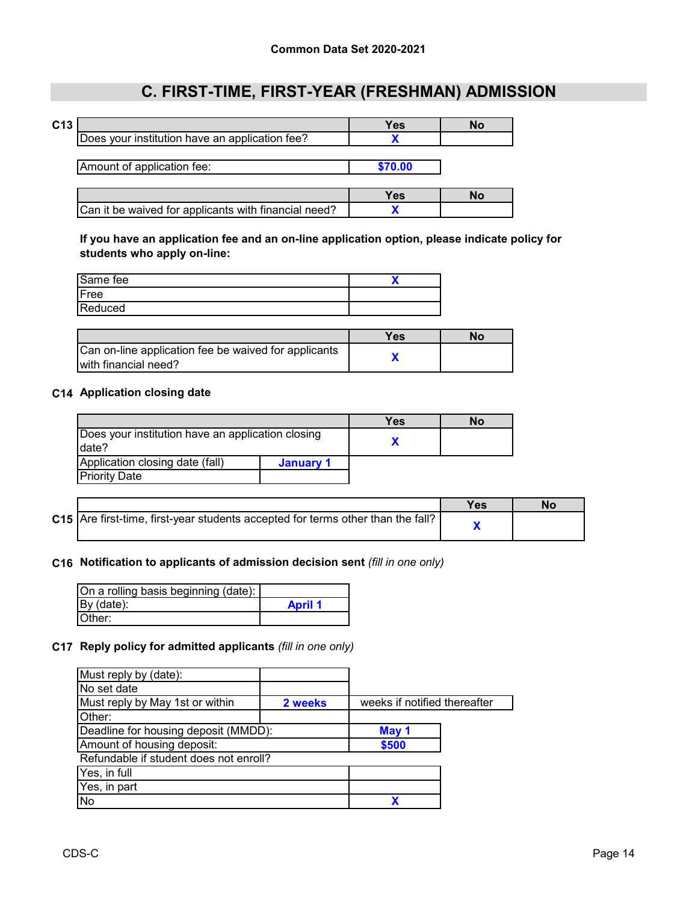|                                                      | Yes     | No |
|------------------------------------------------------|---------|----|
| Does your institution have an application fee?       |         |    |
|                                                      |         |    |
| Amount of application fee:                           | \$70.00 |    |
|                                                      |         |    |
|                                                      | Yes     | Nο |
| Can it be waived for applicants with financial need? |         |    |

**If you have an application fee and an on-line application option, please indicate policy for students who apply on-line:**

| Same fee |  |
|----------|--|
| Free     |  |
| Reduced  |  |
|          |  |

|                                                                              | Yes | Nο |
|------------------------------------------------------------------------------|-----|----|
| Can on-line application fee be waived for applicants<br>with financial need? |     |    |

#### **C14 Application closing date**

|                                                   |           | Yes | No |
|---------------------------------------------------|-----------|-----|----|
| Does your institution have an application closing |           |     |    |
| date?                                             |           |     |    |
| Application closing date (fall)                   | January 1 |     |    |
| <b>Priority Date</b>                              |           |     |    |

|                                                                                 | No |
|---------------------------------------------------------------------------------|----|
| C15 Are first-time, first-year students accepted for terms other than the fall? |    |

#### **C16 Notification to applicants of admission decision sent** *(fill in one only)*

| On a rolling basis beginning (date): |                |
|--------------------------------------|----------------|
| By (date):                           | <b>April 1</b> |
| Other:                               |                |

### **C17 Reply policy for admitted applicants** *(fill in one only)*

| Must reply by (date):                  |         |                              |  |
|----------------------------------------|---------|------------------------------|--|
| No set date                            |         |                              |  |
| Must reply by May 1st or within        | 2 weeks | weeks if notified thereafter |  |
| Other:                                 |         |                              |  |
| Deadline for housing deposit (MMDD):   |         | May 1                        |  |
| Amount of housing deposit:             |         | \$500                        |  |
| Refundable if student does not enroll? |         |                              |  |
| Yes, in full                           |         |                              |  |
| Yes, in part                           |         |                              |  |
| No                                     |         |                              |  |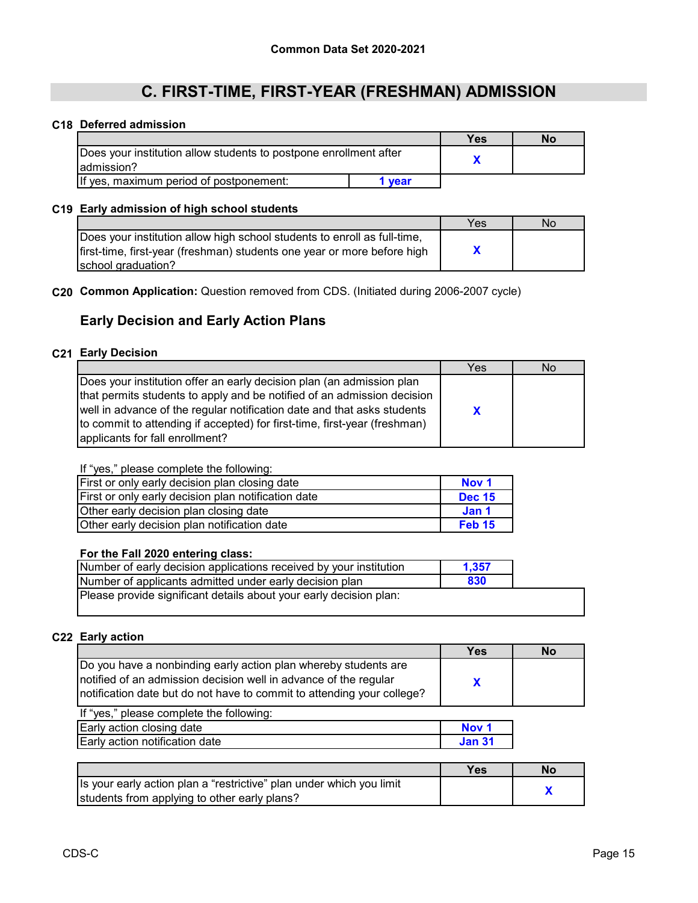#### **C18 Deferred admission**

|                                                                                 |      | Yes | No |
|---------------------------------------------------------------------------------|------|-----|----|
| Does your institution allow students to postpone enrollment after<br>admission? |      |     |    |
| If yes, maximum period of postponement:                                         | vear |     |    |

#### **C19 Early admission of high school students**

|                                                                          | Yes | No |
|--------------------------------------------------------------------------|-----|----|
| Does your institution allow high school students to enroll as full-time, |     |    |
| first-time, first-year (freshman) students one year or more before high  |     |    |
| school graduation?                                                       |     |    |

#### **C20 Common Application:** Question removed from CDS. (Initiated during 2006-2007 cycle)

### **Early Decision and Early Action Plans**

#### **C21 Early Decision**

|                                                                                                                                                                                                                                                                                                                                             | Yes | No |
|---------------------------------------------------------------------------------------------------------------------------------------------------------------------------------------------------------------------------------------------------------------------------------------------------------------------------------------------|-----|----|
| Does your institution offer an early decision plan (an admission plan<br>that permits students to apply and be notified of an admission decision<br>well in advance of the regular notification date and that asks students<br>to commit to attending if accepted) for first-time, first-year (freshman)<br>applicants for fall enrollment? | X   |    |

#### If "yes," please complete the following:

| First or only early decision plan closing date      | Nov 1             |
|-----------------------------------------------------|-------------------|
| First or only early decision plan notification date | <b>Dec 15</b>     |
| Other early decision plan closing date              | Jan 1             |
| Other early decision plan notification date         | Feb <sub>15</sub> |

#### **For the Fall 2020 entering class:**

| Number of early decision applications received by your institution | 1.357 |
|--------------------------------------------------------------------|-------|
| Number of applicants admitted under early decision plan            | 830   |
| Please provide significant details about your early decision plan: |       |

#### **C22 Early action**

|                                                                                                                                                                                                               | Yes | No |
|---------------------------------------------------------------------------------------------------------------------------------------------------------------------------------------------------------------|-----|----|
| Do you have a nonbinding early action plan whereby students are<br>notified of an admission decision well in advance of the regular<br>notification date but do not have to commit to attending your college? |     |    |
| If "vee " please complete the following:                                                                                                                                                                      |     |    |

| If yes, please complete the following. |        |
|----------------------------------------|--------|
| Early action closing date              | Nov 1  |
| Early action notification date         | Jan 31 |

|                                                                      | Yes | Nο |
|----------------------------------------------------------------------|-----|----|
| Is your early action plan a "restrictive" plan under which you limit |     |    |
| students from applying to other early plans?                         |     |    |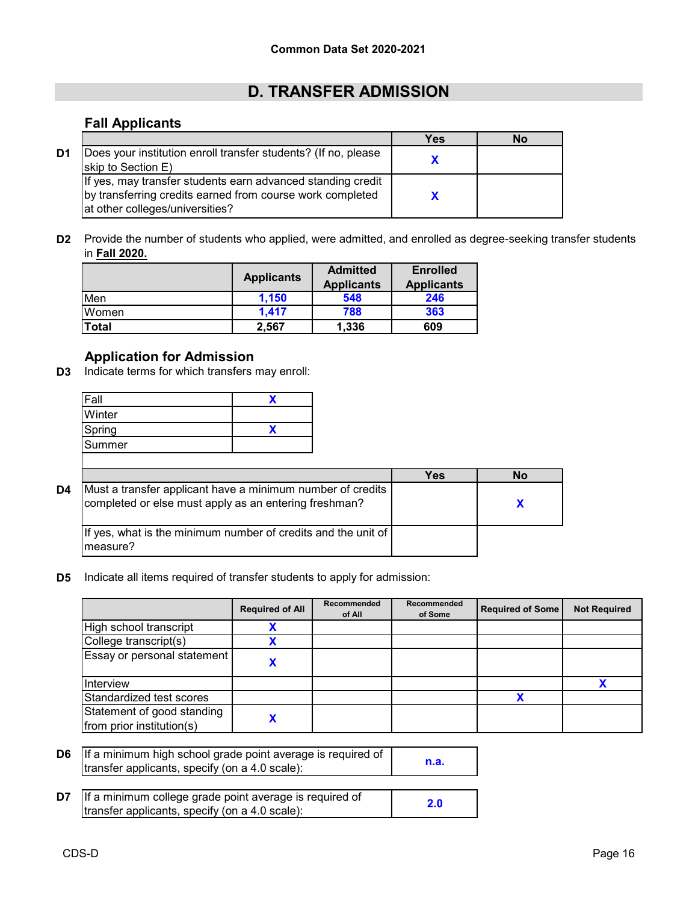# **D. TRANSFER ADMISSION**

### **Fall Applicants**

|    |                                                                                                                                                             | Yes | No |
|----|-------------------------------------------------------------------------------------------------------------------------------------------------------------|-----|----|
| D1 | Does your institution enroll transfer students? (If no, please<br>skip to Section E)                                                                        |     |    |
|    | If yes, may transfer students earn advanced standing credit<br>by transferring credits earned from course work completed<br>at other colleges/universities? |     |    |

**D2** Provide the number of students who applied, were admitted, and enrolled as degree-seeking transfer students in **Fall 2020.**

|       | <b>Applicants</b> | <b>Admitted</b><br><b>Applicants</b> | <b>Enrolled</b><br><b>Applicants</b> |
|-------|-------------------|--------------------------------------|--------------------------------------|
| Men   | 1.150             | 548                                  | 246                                  |
| Women | 1.417             | 788                                  | 363                                  |
| Total | 2.567             | 1,336                                | 609                                  |

### **Application for Admission**

**D3** Indicate terms for which transfers may enroll:

| <sup>=</sup> all |  |
|------------------|--|
| Winter           |  |
| Spring           |  |
| Summer           |  |
|                  |  |

|    |                                                                                                                     | Yes | No |  |
|----|---------------------------------------------------------------------------------------------------------------------|-----|----|--|
| D4 | Must a transfer applicant have a minimum number of credits<br>completed or else must apply as an entering freshman? |     |    |  |
|    | If yes, what is the minimum number of credits and the unit of<br>Imeasure?                                          |     |    |  |

**D5** Indicate all items required of transfer students to apply for admission:

|                                                         | <b>Required of All</b> | Recommended<br>of All | Recommended<br>of Some | <b>Required of Some</b> | <b>Not Required</b> |
|---------------------------------------------------------|------------------------|-----------------------|------------------------|-------------------------|---------------------|
| High school transcript                                  |                        |                       |                        |                         |                     |
| College transcript(s)                                   |                        |                       |                        |                         |                     |
| Essay or personal statement                             |                        |                       |                        |                         |                     |
| Interview                                               |                        |                       |                        |                         |                     |
| Standardized test scores                                |                        |                       |                        |                         |                     |
| Statement of good standing<br>from prior institution(s) |                        |                       |                        |                         |                     |

**D6 n.a.** If a minimum high school grade point average is required of transfer applicants, specify (on a 4.0 scale):

| $\mathsf{D7}$ If a minimum college grade point average is required of | 2.0 |
|-----------------------------------------------------------------------|-----|
| transfer applicants, specify (on a 4.0 scale):                        |     |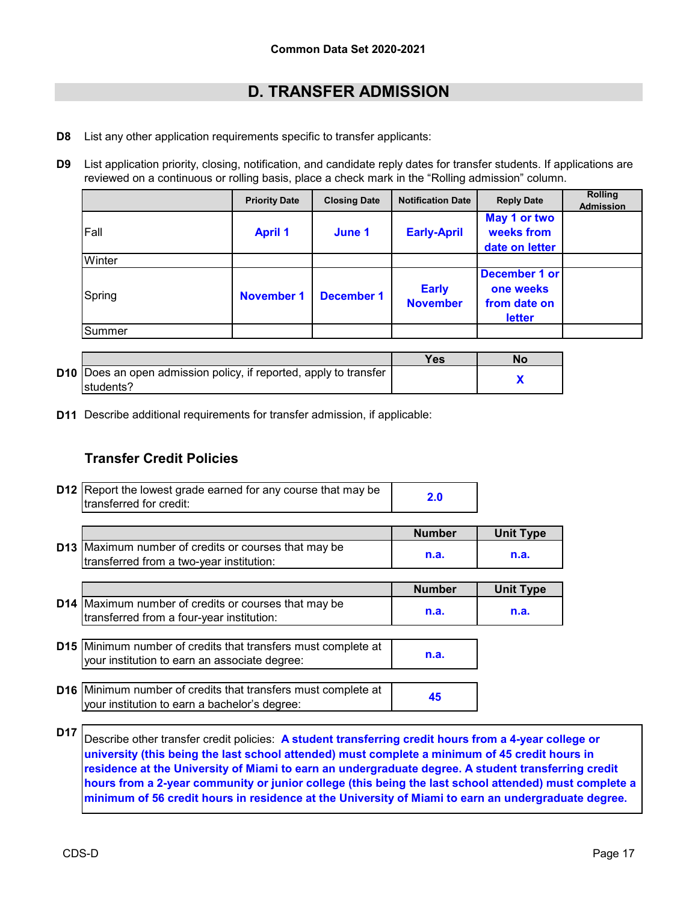# **D. TRANSFER ADMISSION**

- **D8** List any other application requirements specific to transfer applicants:
- **D9** List application priority, closing, notification, and candidate reply dates for transfer students. If applications are reviewed on a continuous or rolling basis, place a check mark in the "Rolling admission" column.

|        | <b>Priority Date</b> | <b>Closing Date</b> | <b>Notification Date</b>        | <b>Reply Date</b>                                    | <b>Rolling</b><br><b>Admission</b> |
|--------|----------------------|---------------------|---------------------------------|------------------------------------------------------|------------------------------------|
| Fall   | <b>April 1</b>       | June 1              | <b>Early-April</b>              | May 1 or two<br>weeks from<br>date on letter         |                                    |
| Winter |                      |                     |                                 |                                                      |                                    |
| Spring | <b>November 1</b>    | <b>December 1</b>   | <b>Early</b><br><b>November</b> | December 1 or<br>one weeks<br>from date on<br>letter |                                    |
| Summer |                      |                     |                                 |                                                      |                                    |

|                                                                          | Yes | Nο |
|--------------------------------------------------------------------------|-----|----|
| <b>D10</b> Does an open admission policy, if reported, apply to transfer |     |    |
| Istudents?                                                               |     |    |

**D11** Describe additional requirements for transfer admission, if applicable:

### **Transfer Credit Policies**

| <b>D12</b> Report the lowest grade earned for any course that may be<br>transferred for credit:                       | 2.0           |                  |
|-----------------------------------------------------------------------------------------------------------------------|---------------|------------------|
|                                                                                                                       | <b>Number</b> | <b>Unit Type</b> |
| <b>D13</b> Maximum number of credits or courses that may be<br>transferred from a two-year institution:               | n.a.          | n.a.             |
|                                                                                                                       | <b>Number</b> | <b>Unit Type</b> |
| <b>D14</b> Maximum number of credits or courses that may be<br>transferred from a four-year institution:              | n.a.          | n.a.             |
|                                                                                                                       |               |                  |
| <b>D15</b> Minimum number of credits that transfers must complete at<br>your institution to earn an associate degree: | n.a.          |                  |
|                                                                                                                       |               |                  |
| <b>D16</b> Minimum number of credits that transfers must complete at<br>your institution to earn a bachelor's degree: | 45            |                  |

Describe other transfer credit policies: **A student transferring credit hours from a 4-year college or university (this being the last school attended) must complete a minimum of 45 credit hours in residence at the University of Miami to earn an undergraduate degree. A student transferring credit hours from a 2-year community or junior college (this being the last school attended) must complete a minimum of 56 credit hours in residence at the University of Miami to earn an undergraduate degree.**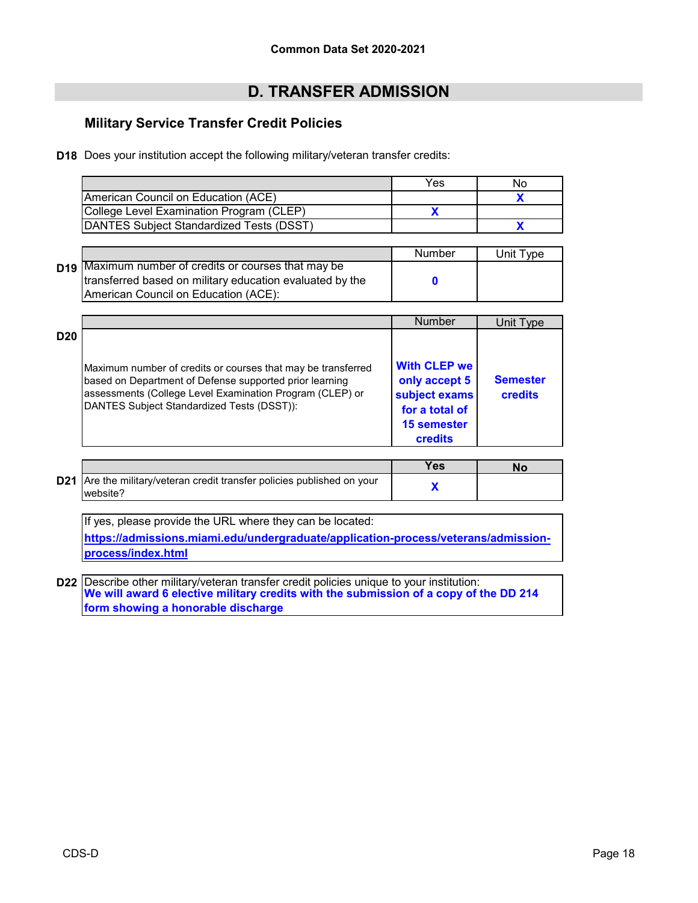# **D. TRANSFER ADMISSION**

### **Military Service Transfer Credit Policies**

**D18** Does your institution accept the following military/veteran transfer credits:

|                                          | Yes | Nο |
|------------------------------------------|-----|----|
| American Council on Education (ACE)      |     |    |
| College Level Examination Program (CLEP) |     |    |
| DANTES Subiect Standardized Tests (DSST) |     |    |

|                                                             | Number | Unit Type |
|-------------------------------------------------------------|--------|-----------|
| <b>D19</b> Maximum number of credits or courses that may be |        |           |
| transferred based on military education evaluated by the    |        |           |
| <b>IAmerican Council on Education (ACE):</b>                |        |           |

|                 |                                                                                                                                                                                                                                   | Number                                                                                 | Unit Type                  |
|-----------------|-----------------------------------------------------------------------------------------------------------------------------------------------------------------------------------------------------------------------------------|----------------------------------------------------------------------------------------|----------------------------|
| D <sub>20</sub> | Maximum number of credits or courses that may be transferred<br>based on Department of Defense supported prior learning<br>assessments (College Level Examination Program (CLEP) or<br>DANTES Subject Standardized Tests (DSST)): | <b>With CLEP we</b><br>only accept 5<br>subject exams<br>for a total of<br>15 semester | <b>Semester</b><br>credits |
|                 |                                                                                                                                                                                                                                   | <b>credits</b>                                                                         |                            |

|                                                                                             | Yes. |  |
|---------------------------------------------------------------------------------------------|------|--|
| <b>D21</b> Are the military/veteran credit transfer policies published on your<br>lwebsite? |      |  |

If yes, please provide the URL where they can be located: **[https://admissions.miami.ed](https://admissions.miami.edu/undergraduate/application-process/veterans/admission-process/index.html)u/undergraduate/application-process/veterans/admission[process/index.html](https://admissions.miami.edu/undergraduate/application-process/veterans/admission-process/index.html)**

**D22** Describe other military/veteran transfer credit policies unique to your institution: **We will award 6 elective military credits with the submission of a copy of the DD 214 form showing a honorable discharge**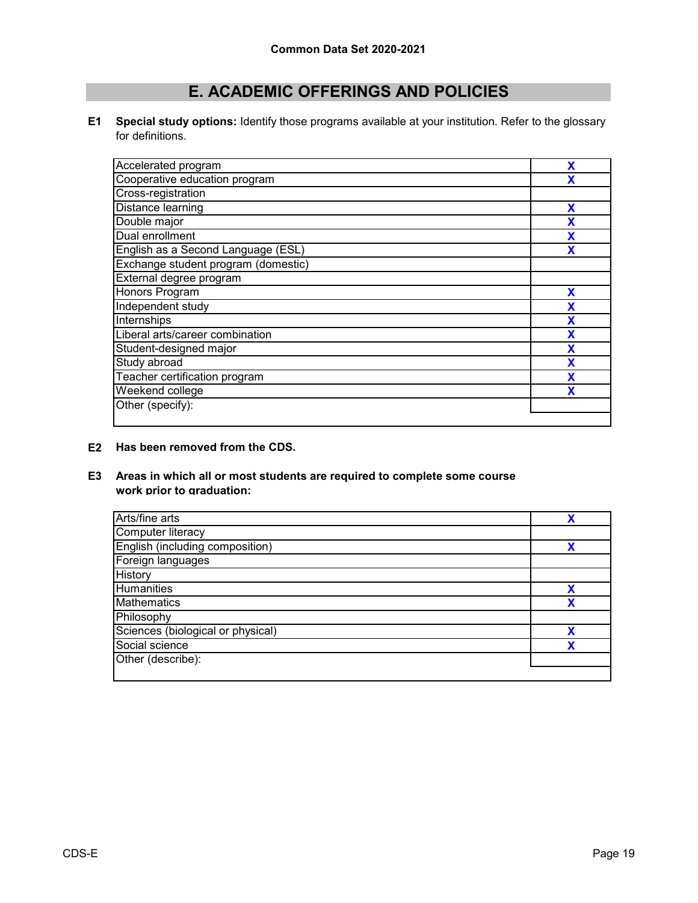# **E. ACADEMIC OFFERINGS AND POLICIES**

**E1 Special study options:** Identify those programs available at your institution. Refer to the glossary for definitions.

| Accelerated program                 | X |
|-------------------------------------|---|
| Cooperative education program       | x |
| Cross-registration                  |   |
| Distance learning                   | Х |
| Double major                        |   |
| Dual enrollment                     | х |
| English as a Second Language (ESL)  |   |
| Exchange student program (domestic) |   |
| External degree program             |   |
| Honors Program                      | X |
| Independent study                   | X |
| Internships                         | X |
| Liberal arts/career combination     | X |
| Student-designed major              | X |
| Study abroad                        | X |
| Teacher certification program       | X |
| Weekend college                     | X |
| Other (specify):                    |   |
|                                     |   |

#### **E2 Has been removed from the CDS.**

#### **E3 Areas in which all or most students are required to complete some course work prior to graduation:**

| Arts/fine arts                    |   |
|-----------------------------------|---|
| Computer literacy                 |   |
| English (including composition)   |   |
| Foreign languages                 |   |
| <b>History</b>                    |   |
| <b>Humanities</b>                 | v |
| <b>Mathematics</b>                |   |
| Philosophy                        |   |
| Sciences (biological or physical) |   |
| Social science                    |   |
| Other (describe):                 |   |
|                                   |   |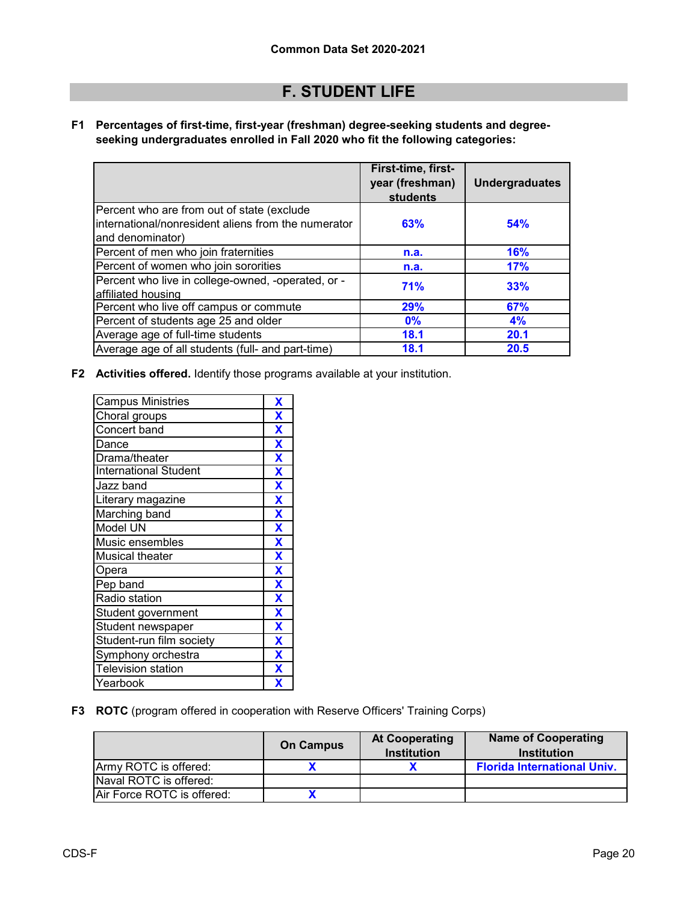# **F. STUDENT LIFE**

**F1 Percentages of first-time, first-year (freshman) degree-seeking students and degreeseeking undergraduates enrolled in Fall 2020 who fit the following categories:**

|                                                                                                                        | First-time, first-<br>year (freshman)<br>students | <b>Undergraduates</b> |
|------------------------------------------------------------------------------------------------------------------------|---------------------------------------------------|-----------------------|
| Percent who are from out of state (exclude<br>Iinternational/nonresident aliens from the numerator<br>and denominator) | 63%                                               | 54%                   |
| Percent of men who join fraternities                                                                                   | n.a.                                              | <b>16%</b>            |
| Percent of women who join sororities                                                                                   | n.a.                                              | 17%                   |
| Percent who live in college-owned, -operated, or -<br>affiliated housing                                               | <b>71%</b>                                        | 33%                   |
| Percent who live off campus or commute                                                                                 | 29%                                               | 67%                   |
| Percent of students age 25 and older                                                                                   | 0%                                                | 4%                    |
| Average age of full-time students                                                                                      | 18.1                                              | 20.1                  |
| Average age of all students (full- and part-time)                                                                      | 18.1                                              | 20.5                  |

**F2 Activities offered.** Identify those programs available at your institution.

| <b>Campus Ministries</b>     | X                       |
|------------------------------|-------------------------|
| Choral groups                | X                       |
| Concert band                 | $\overline{\mathbf{X}}$ |
| Dance                        | $\overline{\mathbf{X}}$ |
| Drama/theater                | $\overline{\mathbf{X}}$ |
| <b>International Student</b> | $\overline{\mathbf{X}}$ |
| Jazz band                    | $\overline{\mathbf{X}}$ |
| Literary magazine            | $\overline{\mathbf{X}}$ |
| <b>Marching band</b>         | $\overline{\mathbf{X}}$ |
| Model UN                     | $\overline{\mathbf{X}}$ |
| Music ensembles              | $\overline{\mathbf{X}}$ |
| <b>Musical theater</b>       | $\overline{\mathbf{X}}$ |
| Opera                        | $\overline{\mathbf{X}}$ |
| Pep band                     | $\overline{\mathbf{X}}$ |
| Radio station                | $\overline{\textbf{X}}$ |
| Student government           | $\overline{\mathbf{X}}$ |
| Student newspaper            | $\overline{\mathbf{X}}$ |
| Student-run film society     | $\overline{\mathbf{X}}$ |
| Symphony orchestra           | X                       |
| <b>Television station</b>    | X                       |
| Yearbook                     | χ                       |

**F3 ROTC** (program offered in cooperation with Reserve Officers' Training Corps)

|                            | <b>On Campus</b> | <b>At Cooperating</b><br><b>Institution</b> | <b>Name of Cooperating</b><br><b>Institution</b> |
|----------------------------|------------------|---------------------------------------------|--------------------------------------------------|
| Army ROTC is offered:      |                  |                                             | <b>Florida International Univ.</b>               |
| Naval ROTC is offered:     |                  |                                             |                                                  |
| Air Force ROTC is offered: |                  |                                             |                                                  |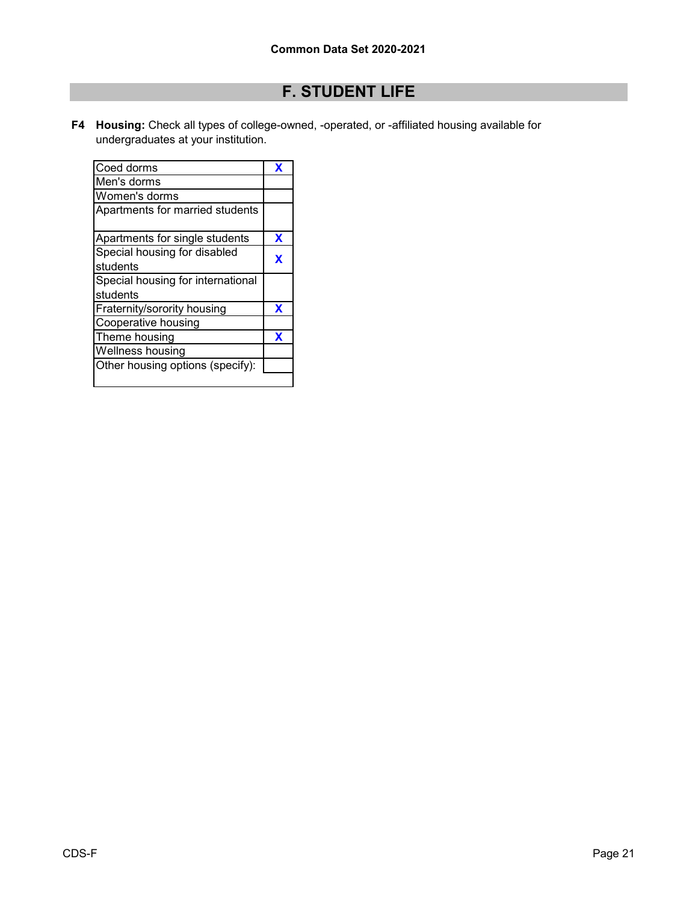# **F. STUDENT LIFE**

**F4 Housing:** Check all types of college-owned, -operated, or -affiliated housing available for undergraduates at your institution.

| Coed dorms                        | X |
|-----------------------------------|---|
| Men's dorms                       |   |
| Women's dorms                     |   |
| Apartments for married students   |   |
| Apartments for single students    | x |
| Special housing for disabled      | X |
| students                          |   |
| Special housing for international |   |
| students                          |   |
| Fraternity/sorority housing       | X |
| Cooperative housing               |   |
| Theme housing                     | x |
| Wellness housing                  |   |
| Other housing options (specify):  |   |
|                                   |   |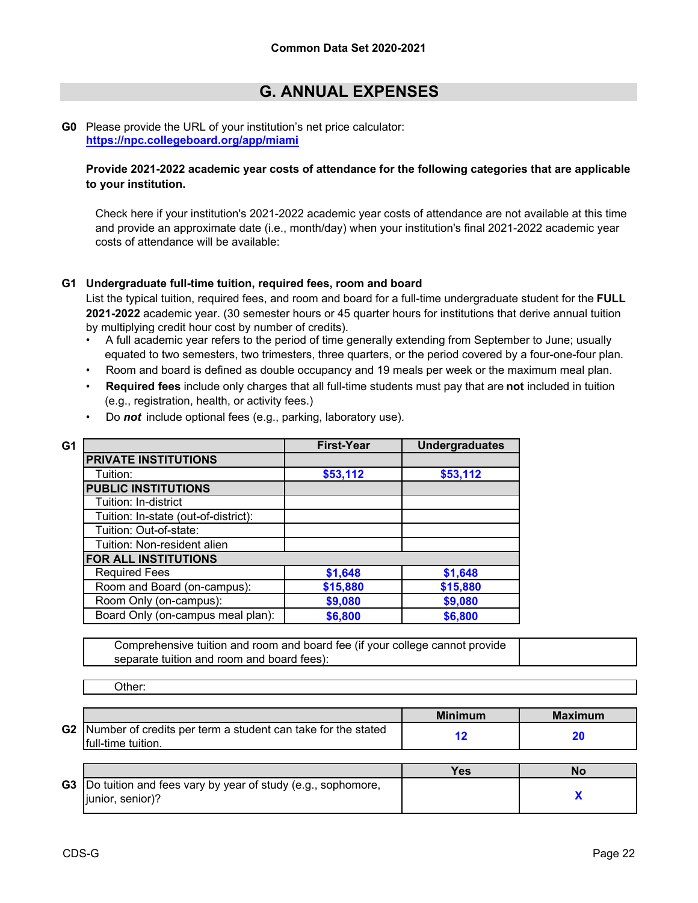# **G. ANNUAL EXPENSES**

#### **G0** [Please provide the URL of your institutio](https://npc.collegeboard.org/app/miami)n's net price calculator: **https://npc.collegeboard.org/app/miami**

#### **Provide 2021-2022 academic year costs of attendance for the following categories that are applicable to your institution.**

Check here if your institution's 2021-2022 academic year costs of attendance are not available at this time and provide an approximate date (i.e., month/day) when your institution's final 2021-2022 academic year costs of attendance will be available:

#### **G1 Undergraduate full-time tuition, required fees, room and board**

List the typical tuition, required fees, and room and board for a full-time undergraduate student for the **FULL 2021-2022** academic year. (30 semester hours or 45 quarter hours for institutions that derive annual tuition by multiplying credit hour cost by number of credits).

- •A full academic year refers to the period of time generally extending from September to June; usually equated to two semesters, two trimesters, three quarters, or the period covered by a four-one-four plan.
- Room and board is defined as double occupancy and 19 meals per week or the maximum meal plan.
- • **Required fees** include only charges that all full-time students must pay that are **not** included in tuition (e.g., registration, health, or activity fees.)

| G1                                   | <b>First-Year</b> | <b>Undergraduates</b> |
|--------------------------------------|-------------------|-----------------------|
| <b>PRIVATE INSTITUTIONS</b>          |                   |                       |
| Tuition:                             | \$53,112          | \$53,112              |
| <b>PUBLIC INSTITUTIONS</b>           |                   |                       |
| Tuition: In-district                 |                   |                       |
| Tuition: In-state (out-of-district): |                   |                       |
| Tuition: Out-of-state:               |                   |                       |
| Tuition: Non-resident alien          |                   |                       |
| <b>FOR ALL INSTITUTIONS</b>          |                   |                       |
| <b>Required Fees</b>                 | \$1,648           | \$1,648               |
| Room and Board (on-campus):          | \$15,880          | \$15,880              |
| Room Only (on-campus):               | \$9,080           | \$9,080               |
| Board Only (on-campus meal plan):    | \$6,800           | \$6,800               |

• Do *not* include optional fees (e.g., parking, laboratory use).

Comprehensive tuition and room and board fee (if your college cannot provide separate tuition and room and board fees):

Other:

|                |                                                                                     | <b>Minimum</b> | <b>Maximum</b> |
|----------------|-------------------------------------------------------------------------------------|----------------|----------------|
| G <sub>2</sub> | Number of credits per term a student can take for the stated<br>Ifull-time tuition. |                |                |

|                                                                                            | $\epsilon$ | NΟ |
|--------------------------------------------------------------------------------------------|------------|----|
| <b>G3</b> Do tuition and fees vary by year of study (e.g., sophomore,<br>liunior. senior)? |            |    |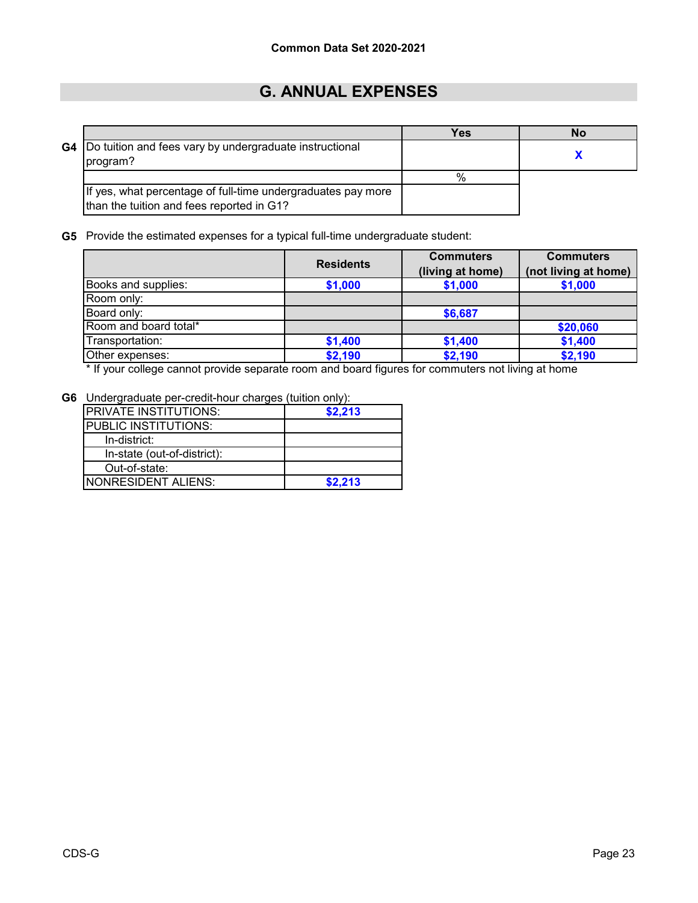# **G. ANNUAL EXPENSES**

|                                                                                                           | Yes | No |
|-----------------------------------------------------------------------------------------------------------|-----|----|
| <b>G4</b> Do tuition and fees vary by undergraduate instructional<br>program?                             |     |    |
|                                                                                                           | %   |    |
| If yes, what percentage of full-time undergraduates pay more<br>than the tuition and fees reported in G1? |     |    |

**G5** Provide the estimated expenses for a typical full-time undergraduate student:

|                       | <b>Residents</b> | <b>Commuters</b> | <b>Commuters</b><br>(not living at home) |  |
|-----------------------|------------------|------------------|------------------------------------------|--|
|                       |                  | (living at home) |                                          |  |
| Books and supplies:   | \$1,000          | \$1,000          | \$1,000                                  |  |
| Room only:            |                  |                  |                                          |  |
| Board only:           |                  | \$6,687          |                                          |  |
| Room and board total* |                  |                  | \$20,060                                 |  |
| Transportation:       | \$1,400          | \$1,400          | \$1,400                                  |  |
| Other expenses:       | \$2,190          | \$2,190          | \$2,190                                  |  |

\* If your college cannot provide separate room and board figures for commuters not living at home

**G6** Undergraduate per-credit-hour charges (tuition only):

| <b>PRIVATE INSTITUTIONS:</b> | \$2,213 |
|------------------------------|---------|
| <b>PUBLIC INSTITUTIONS:</b>  |         |
| In-district:                 |         |
| In-state (out-of-district):  |         |
| Out-of-state:                |         |
| INONRESIDENT ALIENS:         | \$2.213 |
|                              |         |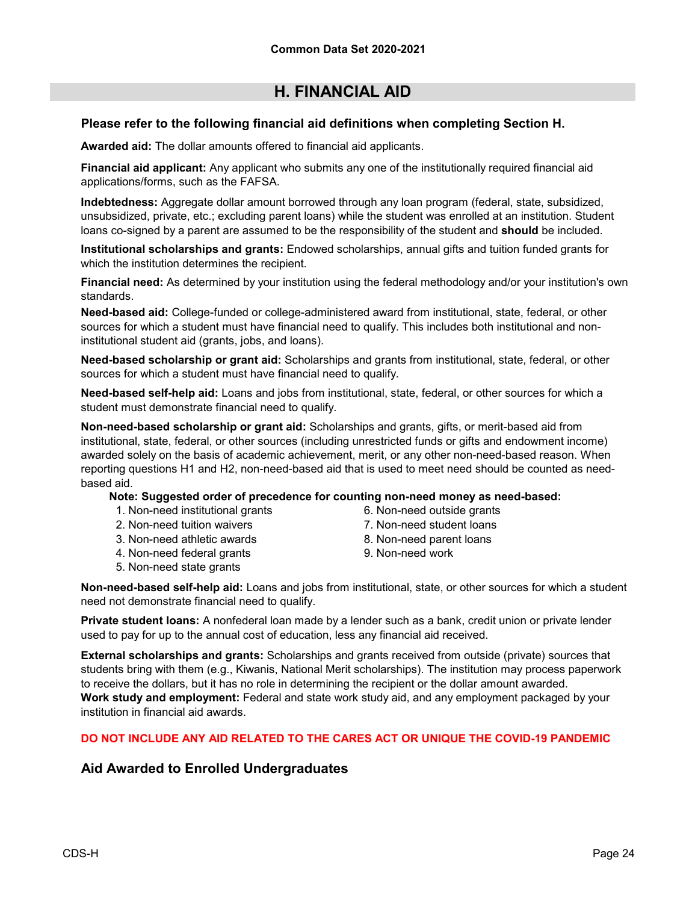#### **Please refer to the following financial aid definitions when completing Section H.**

**Awarded aid:** The dollar amounts offered to financial aid applicants.

**Financial aid applicant:** Any applicant who submits any one of the institutionally required financial aid applications/forms, such as the FAFSA.

**Indebtedness:** Aggregate dollar amount borrowed through any loan program (federal, state, subsidized, unsubsidized, private, etc.; excluding parent loans) while the student was enrolled at an institution. Student loans co-signed by a parent are assumed to be the responsibility of the student and **should** be included.

**Institutional scholarships and grants:** Endowed scholarships, annual gifts and tuition funded grants for which the institution determines the recipient.

**Financial need:** As determined by your institution using the federal methodology and/or your institution's own standards.

**Need-based aid:** College-funded or college-administered award from institutional, state, federal, or other sources for which a student must have financial need to qualify. This includes both institutional and noninstitutional student aid (grants, jobs, and loans).

**Need-based scholarship or grant aid:** Scholarships and grants from institutional, state, federal, or other sources for which a student must have financial need to qualify.

**Need-based self-help aid:** Loans and jobs from institutional, state, federal, or other sources for which a student must demonstrate financial need to qualify.

**Non-need-based scholarship or grant aid:** Scholarships and grants, gifts, or merit-based aid from institutional, state, federal, or other sources (including unrestricted funds or gifts and endowment income) awarded solely on the basis of academic achievement, merit, or any other non-need-based reason. When reporting questions H1 and H2, non-need-based aid that is used to meet need should be counted as needbased aid.

**Note: Suggested order of precedence for counting non-need money as need-based:**

- 1. Non-need institutional grants
- 2. Non-need tuition waivers
- 3. Non-need athletic awards
- 4. Non-need federal grants
- 5. Non-need state grants
- 6. Non-need outside grants
- 7. Non-need student loans
- 8. Non-need parent loans
- 9. Non-need work

**Non-need-based self-help aid:** Loans and jobs from institutional, state, or other sources for which a student need not demonstrate financial need to qualify.

**Private student loans:** A nonfederal loan made by a lender such as a bank, credit union or private lender used to pay for up to the annual cost of education, less any financial aid received.

**External scholarships and grants:** Scholarships and grants received from outside (private) sources that students bring with them (e.g., Kiwanis, National Merit scholarships). The institution may process paperwork to receive the dollars, but it has no role in determining the recipient or the dollar amount awarded. **Work study and employment:** Federal and state work study aid, and any employment packaged by your institution in financial aid awards.

#### **DO NOT INCLUDE ANY AID RELATED TO THE CARES ACT OR UNIQUE THE COVID-19 PANDEMIC**

### **Aid Awarded to Enrolled Undergraduates**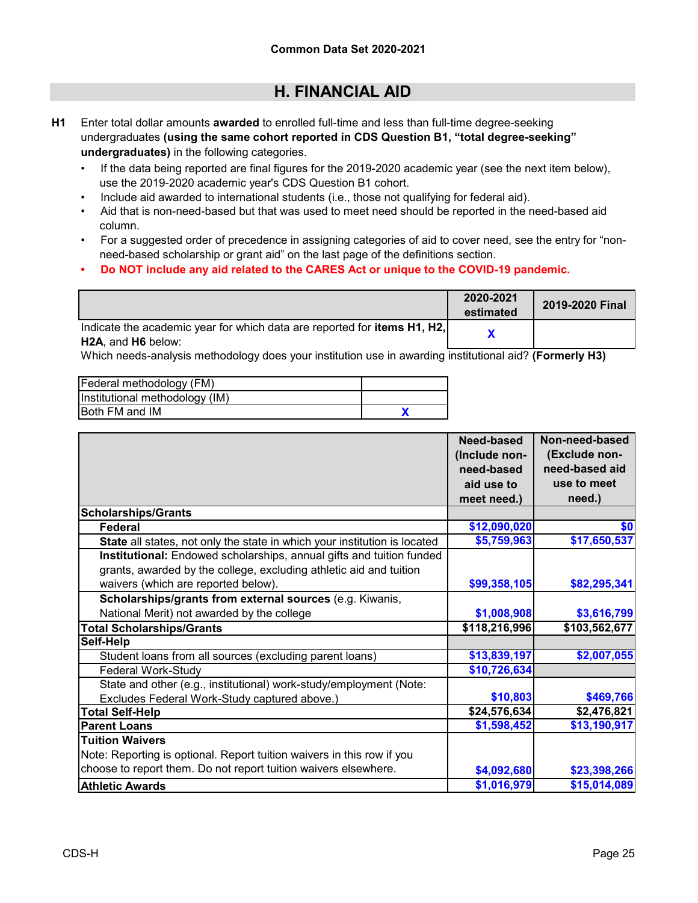- **H1** Enter total dollar amounts **awarded** to enrolled full-time and less than full-time degree-seeking undergraduates **(using the same cohort reported in CDS Question B1, "total degree-seeking" undergraduates)** in the following categories.
	- If the data being reported are final figures for the 2019-2020 academic year (see the next item below), use the 2019-2020 academic year's CDS Question B1 cohort.
	- Include aid awarded to international students (i.e., those not qualifying for federal aid).
	- Aid that is non-need-based but that was used to meet need should be reported in the need-based aid column.
	- For a suggested order of precedence in assigning categories of aid to cover need, see the entry for "non need-based scholarship or grant aid" on the last page of the definitions section.
	- **Do NOT include any aid related to the CARES Act or unique to the COVID-19 pandemic.**

|                                                                                                       | 2020-2021<br>estimated | 2019-2020 Final |
|-------------------------------------------------------------------------------------------------------|------------------------|-----------------|
| Indicate the academic year for which data are reported for <b>items H1, H2,</b><br>H2A, and H6 below: |                        |                 |

Which needs-analysis methodology does your institution use in awarding institutional aid? **(Formerly H3)**

| Federal methodology (FM)       |  |
|--------------------------------|--|
| Institutional methodology (IM) |  |
| IBoth FM and IM                |  |

|                                                                           | Need-based    | Non-need-based |
|---------------------------------------------------------------------------|---------------|----------------|
|                                                                           | (Include non- | (Exclude non-  |
|                                                                           | need-based    | need-based aid |
|                                                                           | aid use to    | use to meet    |
|                                                                           | meet need.)   | need.)         |
| <b>Scholarships/Grants</b>                                                |               |                |
| <b>Federal</b>                                                            | \$12,090,020  | \$0            |
| State all states, not only the state in which your institution is located | \$5,759,963   | \$17,650,537   |
| Institutional: Endowed scholarships, annual gifts and tuition funded      |               |                |
| grants, awarded by the college, excluding athletic aid and tuition        |               |                |
| waivers (which are reported below).                                       | \$99,358,105  | \$82,295,341   |
| Scholarships/grants from external sources (e.g. Kiwanis,                  |               |                |
| National Merit) not awarded by the college                                | \$1,008,908   | \$3,616,799    |
| <b>Total Scholarships/Grants</b>                                          | \$118,216,996 | \$103,562,677  |
| Self-Help                                                                 |               |                |
| Student loans from all sources (excluding parent loans)                   | \$13,839,197  | \$2,007,055    |
| Federal Work-Study                                                        | \$10,726,634  |                |
| State and other (e.g., institutional) work-study/employment (Note:        |               |                |
| Excludes Federal Work-Study captured above.)                              | \$10,803      | \$469,766      |
| <b>Total Self-Help</b>                                                    | \$24,576,634  | \$2,476,821    |
| <b>Parent Loans</b>                                                       | \$1,598,452   | \$13,190,917   |
| <b>Tuition Waivers</b>                                                    |               |                |
| Note: Reporting is optional. Report tuition waivers in this row if you    |               |                |
| choose to report them. Do not report tuition waivers elsewhere.           | \$4,092,680   | \$23,398,266   |
| <b>Athletic Awards</b>                                                    | \$1,016,979   | \$15,014,089   |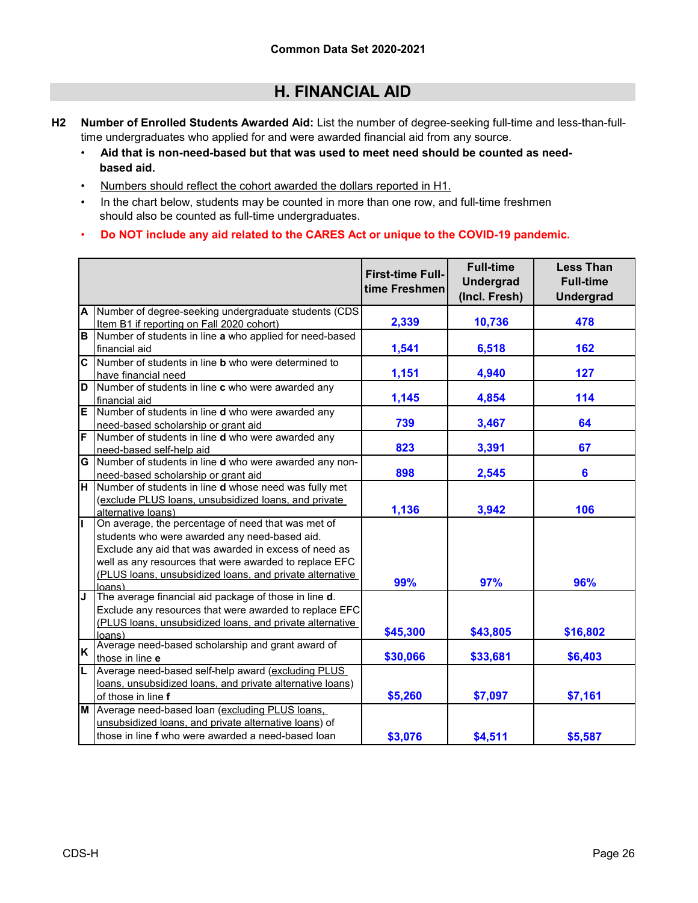- **H2 Number of Enrolled Students Awarded Aid:** List the number of degree-seeking full-time and less-than-fulltime undergraduates who applied for and were awarded financial aid from any source.
	- • **Aid that is non-need-based but that was used to meet need should be counted as need based aid.**
	- Numbers should reflect the cohort awarded the dollars reported in H1.
	- In the chart below, students may be counted in more than one row, and full-time freshmen should also be counted as full-time undergraduates.
	- • **Do NOT include any aid related to the CARES Act or unique to the COVID-19 pandemic.**

|                         |                                                             | <b>First-time Full-</b><br>time Freshmen | <b>Full-time</b><br><b>Undergrad</b><br>(Incl. Fresh) | <b>Less Than</b><br><b>Full-time</b><br><b>Undergrad</b> |
|-------------------------|-------------------------------------------------------------|------------------------------------------|-------------------------------------------------------|----------------------------------------------------------|
| A                       | Number of degree-seeking undergraduate students (CDS        |                                          |                                                       |                                                          |
|                         | Item B1 if reporting on Fall 2020 cohort)                   | 2,339                                    | 10,736                                                | 478                                                      |
| $\overline{B}$          | Number of students in line a who applied for need-based     |                                          |                                                       |                                                          |
|                         | financial aid                                               | 1,541                                    | 6,518                                                 | 162                                                      |
| $\overline{\mathbf{c}}$ | Number of students in line <b>b</b> who were determined to  |                                          |                                                       |                                                          |
|                         | have financial need                                         | 1,151                                    | 4,940                                                 | 127                                                      |
| D                       | Number of students in line c who were awarded any           |                                          |                                                       |                                                          |
|                         | financial aid                                               | 1,145                                    | 4,854                                                 | 114                                                      |
| E                       | Number of students in line <b>d</b> who were awarded any    |                                          |                                                       |                                                          |
|                         | need-based scholarship or grant aid                         | 739                                      | 3,467                                                 | 64                                                       |
| F                       | Number of students in line <b>d</b> who were awarded any    |                                          |                                                       |                                                          |
|                         | need-based self-help aid                                    | 823                                      | 3,391                                                 | 67                                                       |
| G                       | Number of students in line d who were awarded any non-      |                                          |                                                       |                                                          |
|                         | need-based scholarship or grant aid                         | 898                                      | 2,545                                                 | 6                                                        |
| $\overline{\mathbf{H}}$ | Number of students in line d whose need was fully met       |                                          |                                                       |                                                          |
|                         | (exclude PLUS loans, unsubsidized loans, and private        |                                          |                                                       |                                                          |
|                         | alternative loans)                                          | 1,136                                    | 3,942                                                 | 106                                                      |
|                         | On average, the percentage of need that was met of          |                                          |                                                       |                                                          |
|                         | students who were awarded any need-based aid.               |                                          |                                                       |                                                          |
|                         | Exclude any aid that was awarded in excess of need as       |                                          |                                                       |                                                          |
|                         | well as any resources that were awarded to replace EFC      |                                          |                                                       |                                                          |
|                         | (PLUS loans, unsubsidized loans, and private alternative    | 99%                                      | 97%                                                   | 96%                                                      |
|                         | lnans)                                                      |                                          |                                                       |                                                          |
| J                       | The average financial aid package of those in line d.       |                                          |                                                       |                                                          |
|                         | Exclude any resources that were awarded to replace EFC      |                                          |                                                       |                                                          |
|                         | (PLUS loans, unsubsidized loans, and private alternative    | \$45,300                                 | \$43,805                                              | \$16,802                                                 |
|                         | loans)<br>Average need-based scholarship and grant award of |                                          |                                                       |                                                          |
| K                       | those in line e                                             | \$30,066                                 | \$33,681                                              | \$6,403                                                  |
| L                       | Average need-based self-help award (excluding PLUS          |                                          |                                                       |                                                          |
|                         | loans, unsubsidized loans, and private alternative loans)   |                                          |                                                       |                                                          |
|                         | of those in line f                                          | \$5,260                                  | \$7,097                                               | \$7,161                                                  |
|                         | M Average need-based loan (excluding PLUS loans,            |                                          |                                                       |                                                          |
|                         | unsubsidized loans, and private alternative loans) of       |                                          |                                                       |                                                          |
|                         |                                                             |                                          |                                                       |                                                          |
|                         | those in line f who were awarded a need-based loan          | \$3,076                                  | \$4,511                                               | \$5,587                                                  |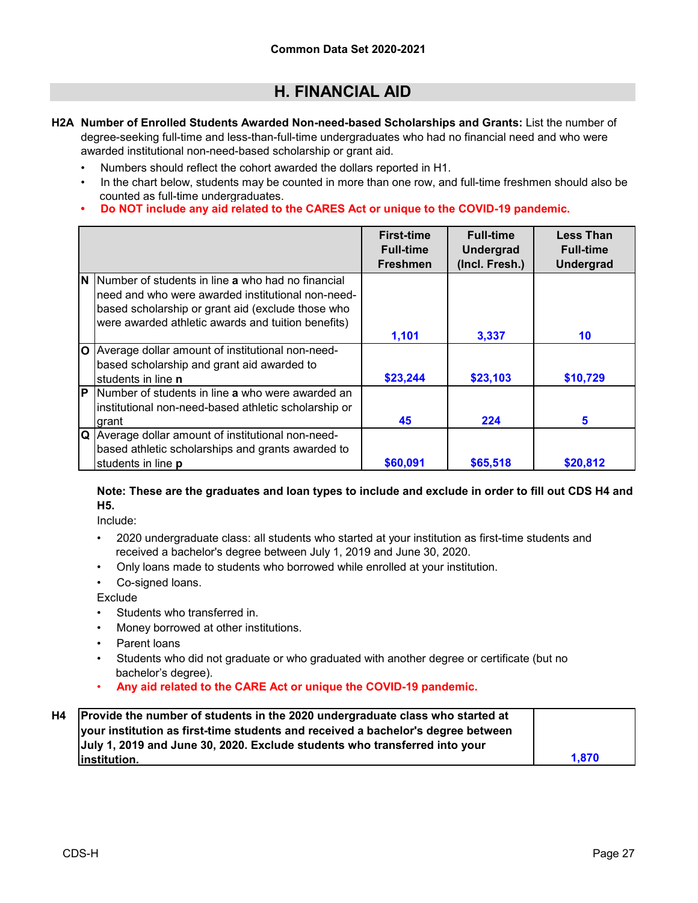- **H2A Number of Enrolled Students Awarded Non-need-based Scholarships and Grants:** List the number of degree-seeking full-time and less-than-full-time undergraduates who had no financial need and who were awarded institutional non-need-based scholarship or grant aid.
	- Numbers should reflect the cohort awarded the dollars reported in H1.
	- In the chart below, students may be counted in more than one row, and full-time freshmen should also be counted as full-time undergraduates.
	- **Do NOT include any aid related to the CARES Act or unique to the COVID-19 pandemic.**

|              |                                                      | <b>First-time</b><br><b>Full-time</b><br><b>Freshmen</b> | <b>Full-time</b><br><b>Undergrad</b><br>(Incl. Fresh.) | <b>Less Than</b><br><b>Full-time</b><br><b>Undergrad</b> |
|--------------|------------------------------------------------------|----------------------------------------------------------|--------------------------------------------------------|----------------------------------------------------------|
| N            | Number of students in line a who had no financial    |                                                          |                                                        |                                                          |
|              | need and who were awarded institutional non-need-    |                                                          |                                                        |                                                          |
|              | based scholarship or grant aid (exclude those who    |                                                          |                                                        |                                                          |
|              | were awarded athletic awards and tuition benefits)   |                                                          |                                                        |                                                          |
|              |                                                      | 1,101                                                    | 3,337                                                  | 10                                                       |
| $\mathbf{O}$ | Average dollar amount of institutional non-need-     |                                                          |                                                        |                                                          |
|              | based scholarship and grant aid awarded to           |                                                          |                                                        |                                                          |
|              | students in line n                                   | \$23,244                                                 | \$23,103                                               | \$10,729                                                 |
| P            | Number of students in line a who were awarded an     |                                                          |                                                        |                                                          |
|              | institutional non-need-based athletic scholarship or |                                                          |                                                        |                                                          |
|              | grant                                                | 45                                                       | 224                                                    | 5                                                        |
| Q            | Average dollar amount of institutional non-need-     |                                                          |                                                        |                                                          |
|              | based athletic scholarships and grants awarded to    |                                                          |                                                        |                                                          |
|              | students in line p                                   | \$60,091                                                 | \$65,518                                               | \$20,812                                                 |

#### **Note: These are the graduates and loan types to include and exclude in order to fill out CDS H4 and H5.**

Include:

- •2020 undergraduate class: all students who started at your institution as first-time students and received a bachelor's degree between July 1, 2019 and June 30, 2020.
- Only loans made to students who borrowed while enrolled at your institution.
- Co-signed loans.

**Exclude** 

- Students who transferred in.
- Money borrowed at other institutions.
- Parent loans
- Students who did not graduate or who graduated with another degree or certificate (but no bachelor's degree).
- **Any aid related to the CARE Act or unique the COVID-19 pandemic.**

| H4 | Provide the number of students in the 2020 undergraduate class who started at    |       |
|----|----------------------------------------------------------------------------------|-------|
|    | your institution as first-time students and received a bachelor's degree between |       |
|    | July 1, 2019 and June 30, 2020. Exclude students who transferred into your       |       |
|    | linstitution.                                                                    | 1.870 |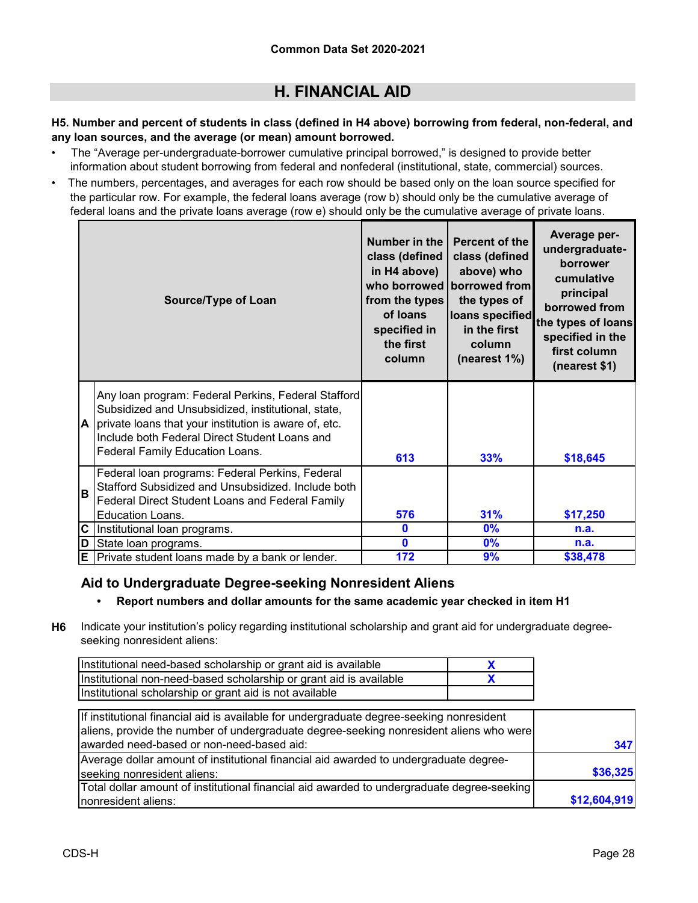#### **H5. Number and percent of students in class (defined in H4 above) borrowing from federal, non-federal, and any loan sources, and the average (or mean) amount borrowed.**

- The "Average per-undergraduate-borrower cumulative principal borrowed," is designed to provide better information about student borrowing from federal and nonfederal (institutional, state, commercial) sources.
- The numbers, percentages, and averages for each row should be based only on the loan source specified for the particular row. For example, the federal loans average (row b) should only be the cumulative average of federal loans and the private loans average (row e) should only be the cumulative average of private loans.

|          | Source/Type of Loan                                                                                                                                                                                                 | Number in the<br>class (defined<br>in H4 above)<br>from the types<br>of loans<br>specified in<br>the first<br>column | Percent of the<br>class (defined<br>above) who<br>who borrowed borrowed from<br>the types of<br>loans specified<br>in the first<br><b>column</b><br>(nearest 1%) | Average per-<br>undergraduate-<br>borrower<br>cumulative<br>principal<br>borrowed from<br>the types of loans<br>specified in the<br>first column<br>(nearest \$1) |
|----------|---------------------------------------------------------------------------------------------------------------------------------------------------------------------------------------------------------------------|----------------------------------------------------------------------------------------------------------------------|------------------------------------------------------------------------------------------------------------------------------------------------------------------|-------------------------------------------------------------------------------------------------------------------------------------------------------------------|
| IA.      | Any loan program: Federal Perkins, Federal Stafford<br>Subsidized and Unsubsidized, institutional, state,<br>private loans that your institution is aware of, etc.<br>Include both Federal Direct Student Loans and |                                                                                                                      |                                                                                                                                                                  |                                                                                                                                                                   |
|          | Federal Family Education Loans.                                                                                                                                                                                     | 613                                                                                                                  | 33%                                                                                                                                                              | \$18,645                                                                                                                                                          |
| <b>B</b> | Federal loan programs: Federal Perkins, Federal<br>Stafford Subsidized and Unsubsidized. Include both<br>Federal Direct Student Loans and Federal Family                                                            |                                                                                                                      |                                                                                                                                                                  |                                                                                                                                                                   |
|          | Education Loans.                                                                                                                                                                                                    | 576                                                                                                                  | 31%                                                                                                                                                              | \$17,250                                                                                                                                                          |
| C        | Institutional loan programs.                                                                                                                                                                                        | $\mathbf 0$                                                                                                          | 0%                                                                                                                                                               | n.a.                                                                                                                                                              |
| D        | State loan programs.                                                                                                                                                                                                | $\mathbf{0}$                                                                                                         | 0%                                                                                                                                                               | n.a.                                                                                                                                                              |
|          | $E$ Private student loans made by a bank or lender.                                                                                                                                                                 | 172                                                                                                                  | 9%                                                                                                                                                               | \$38,478                                                                                                                                                          |

### **Aid to Undergraduate Degree-seeking Nonresident Aliens**

### **• Report numbers and dollar amounts for the same academic year checked in item H1**

**H6** Indicate your institution's policy regarding institutional scholarship and grant aid for undergraduate degreeseeking nonresident aliens:

| Institutional need-based scholarship or grant aid is available     |  |
|--------------------------------------------------------------------|--|
| Institutional non-need-based scholarship or grant aid is available |  |
| Institutional scholarship or grant aid is not available            |  |

| If institutional financial aid is available for undergraduate degree-seeking nonresident   |              |
|--------------------------------------------------------------------------------------------|--------------|
| aliens, provide the number of undergraduate degree-seeking nonresident aliens who were     |              |
| awarded need-based or non-need-based aid:                                                  | 347          |
| Average dollar amount of institutional financial aid awarded to undergraduate degree-      |              |
| seeking nonresident aliens:                                                                | \$36,325     |
| Total dollar amount of institutional financial aid awarded to undergraduate degree-seeking |              |
| Inonresident aliens:                                                                       | \$12,604,919 |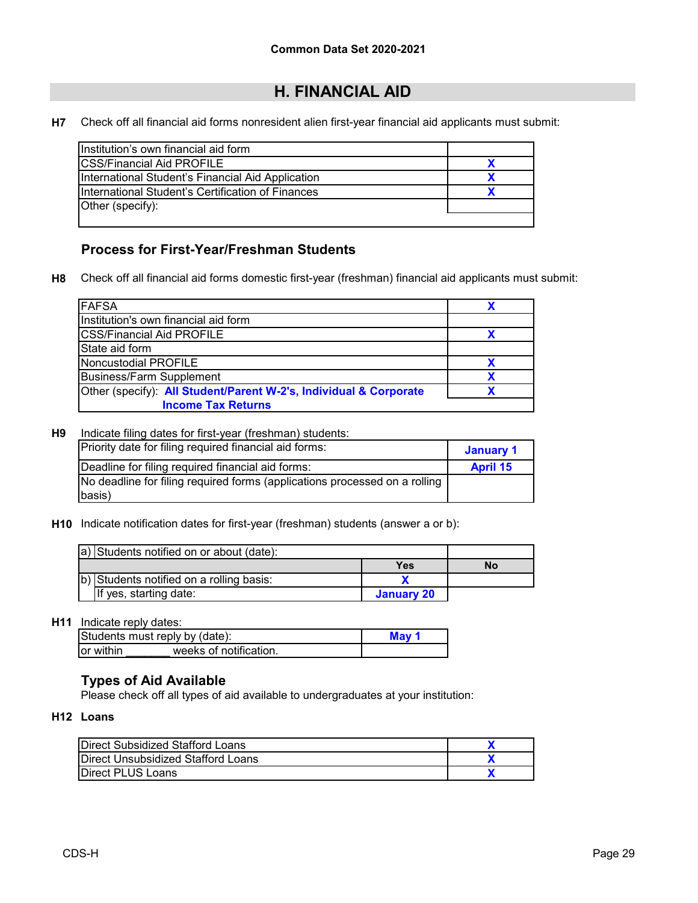**H7** Check off all financial aid forms nonresident alien first-year financial aid applicants must submit:

| Institution's own financial aid form              |  |
|---------------------------------------------------|--|
| <b>ICSS/Financial Aid PROFILE</b>                 |  |
| International Student's Financial Aid Application |  |
| International Student's Certification of Finances |  |
| Other (specify):                                  |  |
|                                                   |  |

### **Process for First-Year/Freshman Students**

**H8** Check off all financial aid forms domestic first-year (freshman) financial aid applicants must submit:

| <b>FAFSA</b>                                                      |  |
|-------------------------------------------------------------------|--|
| Institution's own financial aid form                              |  |
| <b>CSS/Financial Aid PROFILE</b>                                  |  |
| State aid form                                                    |  |
| Noncustodial PROFILE                                              |  |
| <b>Business/Farm Supplement</b>                                   |  |
| Other (specify): All Student/Parent W-2's, Individual & Corporate |  |
| <b>Income Tax Returns</b>                                         |  |

#### **H9** Indicate filing dates for first-year (freshman) students:

| Priority date for filing required financial aid forms:                     | January 1       |
|----------------------------------------------------------------------------|-----------------|
| Deadline for filing required financial aid forms:                          | <b>April 15</b> |
| No deadline for filing required forms (applications processed on a rolling |                 |
| basis)                                                                     |                 |

**H10** Indicate notification dates for first-year (freshman) students (answer a or b):

| a) Students notified on or about (date): |            |    |
|------------------------------------------|------------|----|
|                                          | Yes        | Nο |
| b) Students notified on a rolling basis: |            |    |
| If yes, starting date:                   | January 20 |    |

### **H11** Indicate reply dates:

|           | Students must reply by (date): | ๊⁄ Mav |
|-----------|--------------------------------|--------|
| or within | weeks of notification.         |        |

### **Types of Aid Available**

Please check off all types of aid available to undergraduates at your institution:

#### **H12 Loans**

| Direct Subsidized Stafford Loans   |  |
|------------------------------------|--|
| Direct Unsubsidized Stafford Loans |  |
| <b>Direct PLUS Loans</b>           |  |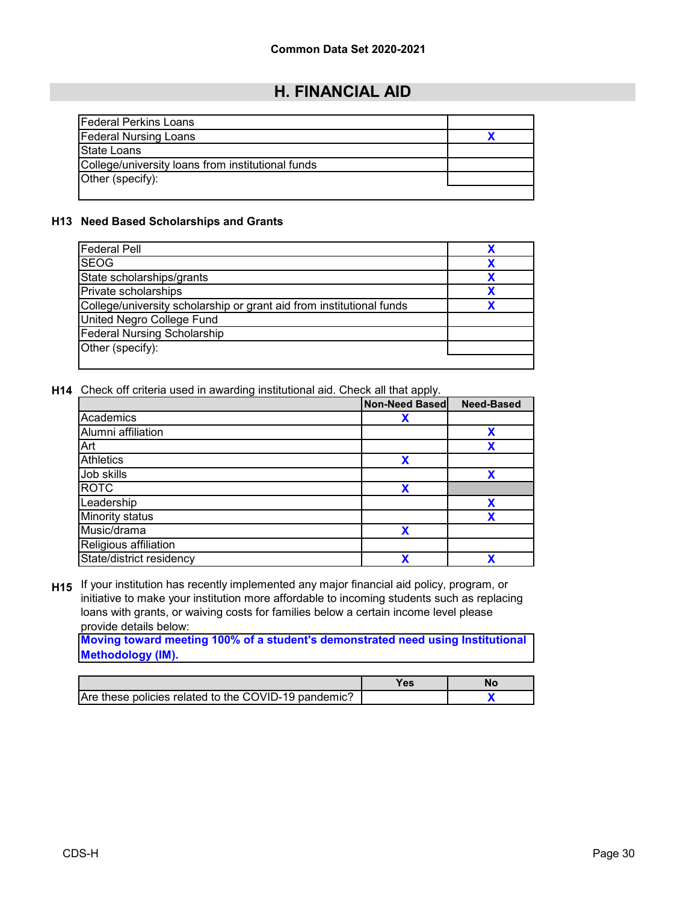| <b>Federal Perkins Loans</b>                      |  |
|---------------------------------------------------|--|
| <b>Federal Nursing Loans</b>                      |  |
| State Loans                                       |  |
| College/university loans from institutional funds |  |
| Other (specify):                                  |  |
|                                                   |  |

#### **H13 Need Based Scholarships and Grants**

| <b>Federal Pell</b>                                                  |  |
|----------------------------------------------------------------------|--|
| <b>SEOG</b>                                                          |  |
| State scholarships/grants                                            |  |
| Private scholarships                                                 |  |
| College/university scholarship or grant aid from institutional funds |  |
| United Negro College Fund                                            |  |
| <b>Federal Nursing Scholarship</b>                                   |  |
| Other (specify):                                                     |  |
|                                                                      |  |

**H14** Check off criteria used in awarding institutional aid. Check all that apply.

|                          | Non-Need Based | <b>Need-Based</b> |
|--------------------------|----------------|-------------------|
| Academics                | Х              |                   |
| Alumni affiliation       |                | Х                 |
| Art                      |                | χ                 |
| <b>Athletics</b>         | X              |                   |
| Job skills               |                |                   |
| <b>ROTC</b>              | χ              |                   |
| Leadership               |                | χ                 |
| <b>Minority status</b>   |                | χ                 |
| Music/drama              | χ              |                   |
| Religious affiliation    |                |                   |
| State/district residency | χ              | x                 |

**H15** If your institution has recently implemented any major financial aid policy, program, or initiative to make your institution more affordable to incoming students such as replacing loans with grants, or waiving costs for families below a certain income level please provide details below:

**Moving toward meeting 100% of a student's demonstrated need using Institutional Methodology (IM).**

|                                                      | Yes |  |
|------------------------------------------------------|-----|--|
| Are these policies related to the COVID-19 pandemic? |     |  |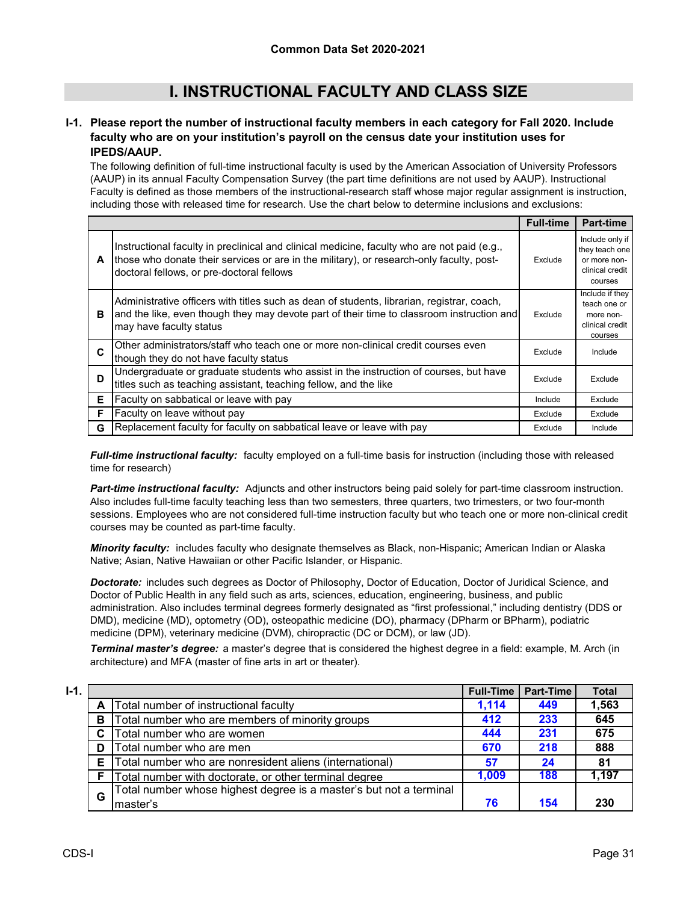# **I. INSTRUCTIONAL FACULTY AND CLASS SIZE**

#### **I-1. Please report the number of instructional faculty members in each category for Fall 2020. Include faculty who are on your institution's payroll on the census date your institution uses for IPEDS/AAUP.**

The following definition of full-time instructional faculty is used by the American Association of University Professors (AAUP) in its annual Faculty Compensation Survey (the part time definitions are not used by AAUP). Instructional Faculty is defined as those members of the instructional-research staff whose major regular assignment is instruction, including those with released time for research. Use the chart below to determine inclusions and exclusions:

|    |                                                                                                                                                                                                                                      | <b>Full-time</b> | <b>Part-time</b>                                                                |
|----|--------------------------------------------------------------------------------------------------------------------------------------------------------------------------------------------------------------------------------------|------------------|---------------------------------------------------------------------------------|
| A  | Instructional faculty in preclinical and clinical medicine, faculty who are not paid (e.g.,<br>those who donate their services or are in the military), or research-only faculty, post-<br>doctoral fellows, or pre-doctoral fellows | Exclude          | Include only if<br>they teach one<br>or more non-<br>clinical credit<br>courses |
| в  | Administrative officers with titles such as dean of students, librarian, registrar, coach,<br>and the like, even though they may devote part of their time to classroom instruction and<br>may have faculty status                   | Exclude          | Include if they<br>teach one or<br>more non-<br>clinical credit<br>courses      |
| C  | Other administrators/staff who teach one or more non-clinical credit courses even<br>though they do not have faculty status                                                                                                          | Exclude          | Include                                                                         |
| D  | Undergraduate or graduate students who assist in the instruction of courses, but have<br>titles such as teaching assistant, teaching fellow, and the like                                                                            | Exclude          | Exclude                                                                         |
| E. | Faculty on sabbatical or leave with pay                                                                                                                                                                                              | Include          | Exclude                                                                         |
| F  | Faculty on leave without pay                                                                                                                                                                                                         | Exclude          | Exclude                                                                         |
| G  | Replacement faculty for faculty on sabbatical leave or leave with pay                                                                                                                                                                | Exclude          | Include                                                                         |

*Full-time instructional faculty:* faculty employed on a full-time basis for instruction (including those with released time for research)

*Part-time instructional faculty:* Adjuncts and other instructors being paid solely for part-time classroom instruction. Also includes full-time faculty teaching less than two semesters, three quarters, two trimesters, or two four-month sessions. Employees who are not considered full-time instruction faculty but who teach one or more non-clinical credit courses may be counted as part-time faculty.

*Minority faculty:* includes faculty who designate themselves as Black, non-Hispanic; American Indian or Alaska Native; Asian, Native Hawaiian or other Pacific Islander, or Hispanic.

*Doctorate:* includes such degrees as Doctor of Philosophy, Doctor of Education, Doctor of Juridical Science, and Doctor of Public Health in any field such as arts, sciences, education, engineering, business, and public administration. Also includes terminal degrees formerly designated as "first professional," including dentistry (DDS or DMD), medicine (MD), optometry (OD), osteopathic medicine (DO), pharmacy (DPharm or BPharm), podiatric medicine (DPM), veterinary medicine (DVM), chiropractic (DC or DCM), or law (JD).

*Terminal master's degree:* a master's degree that is considered the highest degree in a field: example, M. Arch (in architecture) and MFA (master of fine arts in art or theater).

| $I-1.$ |   |                                                                    | <b>Full-Time</b> | <b>Part-Time</b> | <b>Total</b> |
|--------|---|--------------------------------------------------------------------|------------------|------------------|--------------|
|        |   | Total number of instructional faculty                              | 1.114            | 449              | 1,563        |
|        | в | Total number who are members of minority groups                    | 412              | 233              | 645          |
|        | C | Total number who are women                                         | 444              | 231              | 675          |
|        | D | Total number who are men                                           | 670              | 218              | 888          |
|        | Е | Total number who are nonresident aliens (international)            | 57               | 24               | 81           |
|        |   | Total number with doctorate, or other terminal degree              | 1.009            | 188              | 1,197        |
|        | G | Total number whose highest degree is a master's but not a terminal |                  |                  |              |
|        |   | lmaster's                                                          | 76               | 154              | 230          |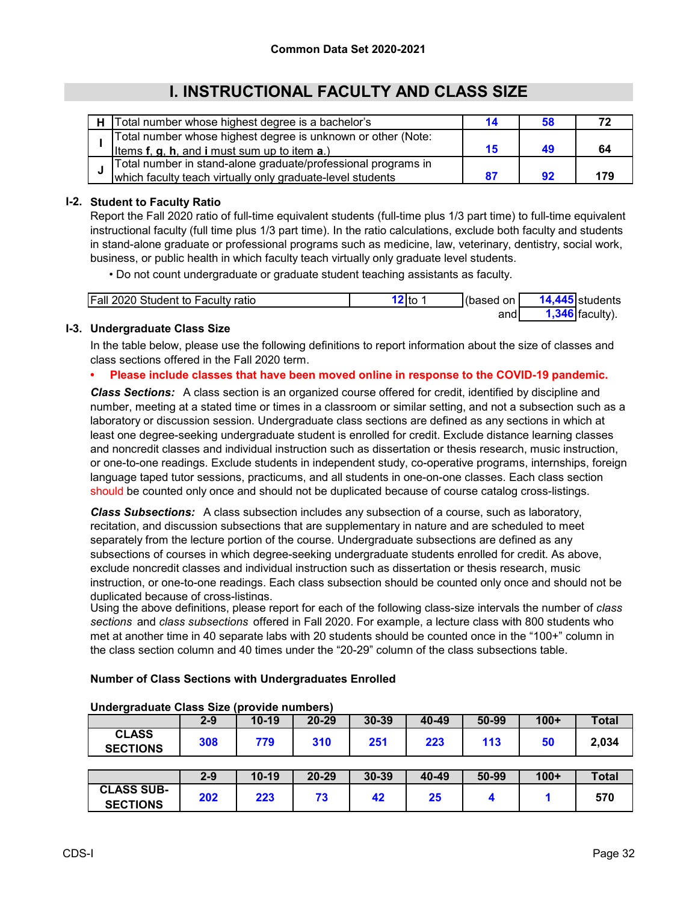# **I. INSTRUCTIONAL FACULTY AND CLASS SIZE**

| Total number whose highest degree is a bachelor's             |    |     |
|---------------------------------------------------------------|----|-----|
| Total number whose highest degree is unknown or other (Note:  |    |     |
| Items $f$ , $g$ , $h$ , and i must sum up to item $a$ .)      | 15 | 64  |
| Total number in stand-alone graduate/professional programs in |    |     |
| which faculty teach virtually only graduate-level students    |    | 179 |

### **I-2. Student to Faculty Ratio**

Report the Fall 2020 ratio of full-time equivalent students (full-time plus 1/3 part time) to full-time equivalent instructional faculty (full time plus 1/3 part time). In the ratio calculations, exclude both faculty and students in stand-alone graduate or professional programs such as medicine, law, veterinary, dentistry, social work, business, or public health in which faculty teach virtually only graduate level students.

• Do not count undergraduate or graduate student teaching assistants as faculty.

| <b>Fall 2020 Student to Faculty ratio</b> | 'Ito | (based on | Istudents |
|-------------------------------------------|------|-----------|-----------|
|                                           |      | and       | faculty   |

### **I-3. Undergraduate Class Size**

In the table below, please use the following definitions to report information about the size of classes and class sections offered in the Fall 2020 term.

#### **• Please include classes that have been moved online in response to the COVID-19 pandemic.**

*Class Sections:* A class section is an organized course offered for credit, identified by discipline and number, meeting at a stated time or times in a classroom or similar setting, and not a subsection such as a laboratory or discussion session. Undergraduate class sections are defined as any sections in which at least one degree-seeking undergraduate student is enrolled for credit. Exclude distance learning classes and noncredit classes and individual instruction such as dissertation or thesis research, music instruction, or one-to-one readings. Exclude students in independent study, co-operative programs, internships, foreign language taped tutor sessions, practicums, and all students in one-on-one classes. Each class section should be counted only once and should not be duplicated because of course catalog cross-listings.

*Class Subsections:* A class subsection includes any subsection of a course, such as laboratory, recitation, and discussion subsections that are supplementary in nature and are scheduled to meet separately from the lecture portion of the course. Undergraduate subsections are defined as any subsections of courses in which degree-seeking undergraduate students enrolled for credit. As above, exclude noncredit classes and individual instruction such as dissertation or thesis research, music instruction, or one-to-one readings. Each class subsection should be counted only once and should not be duplicated because of cross-listings.

Using the above definitions, please report for each of the following class-size intervals the number of *class sections* and *class subsections* offered in Fall 2020. For example, a lecture class with 800 students who met at another time in 40 separate labs with 20 students should be counted once in the "100+" column in the class section column and 40 times under the "20-29" column of the class subsections table.

#### **Number of Class Sections with Undergraduates Enrolled**

| -                                    | $2 - 9$ | $10-19$ | 20-29     | 30-39     | 40-49 | 50-99 | $100+$ | <b>Total</b> |
|--------------------------------------|---------|---------|-----------|-----------|-------|-------|--------|--------------|
| <b>CLASS</b><br><b>SECTIONS</b>      | 308     | 779     | 310       | 251       | 223   | 113   | 50     | 2,034        |
|                                      |         |         |           |           |       |       |        |              |
|                                      | 2-9     | $10-19$ | $20 - 29$ | $30 - 39$ | 40-49 | 50-99 | $100+$ | <b>Total</b> |
| <b>CLASS SUB-</b><br><b>SECTIONS</b> | 202     | 223     | 73        | 42        | 25    |       |        | 570          |

#### **Undergraduate Class Size (provide numbers)**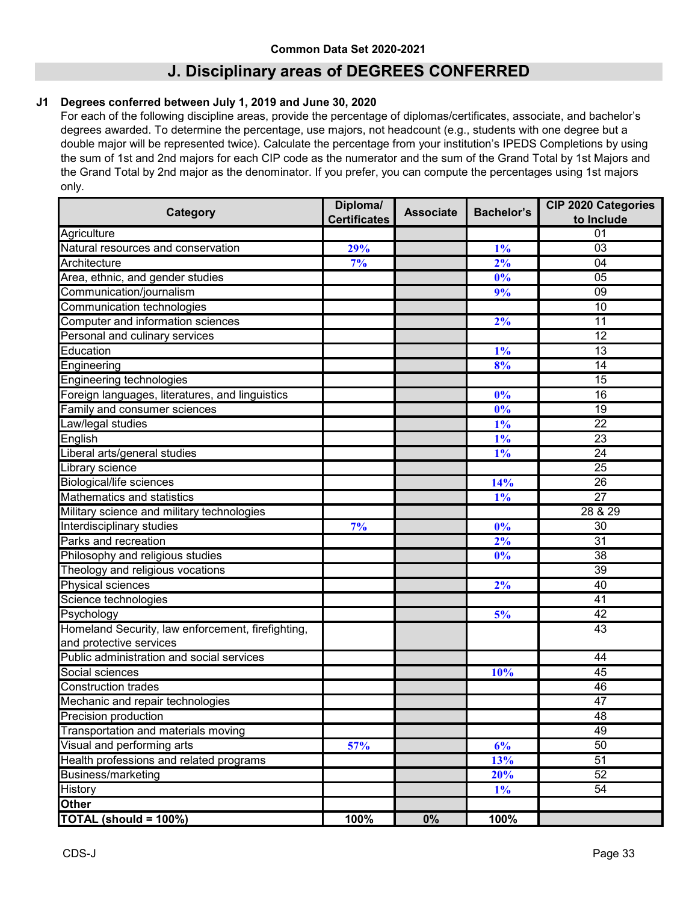# **J. Disciplinary areas of DEGREES CONFERRED**

#### **J1 Degrees conferred between July 1, 2019 and June 30, 2020**

For each of the following discipline areas, provide the percentage of diplomas/certificates, associate, and bachelor's degrees awarded. To determine the percentage, use majors, not headcount (e.g., students with one degree but a double major will be represented twice). Calculate the percentage from your institution's IPEDS Completions by using the sum of 1st and 2nd majors for each CIP code as the numerator and the sum of the Grand Total by 1st Majors and the Grand Total by 2nd major as the denominator. If you prefer, you can compute the percentages using 1st majors only.

| Category                                          | Diploma/            | <b>Associate</b> | <b>Bachelor's</b> | <b>CIP 2020 Categories</b> |
|---------------------------------------------------|---------------------|------------------|-------------------|----------------------------|
|                                                   | <b>Certificates</b> |                  |                   | to Include                 |
| Agriculture                                       |                     |                  |                   | 01                         |
| Natural resources and conservation                | 29%                 |                  | $1\%$             | 03                         |
| Architecture                                      | 7%                  |                  | 2%                | 04                         |
| Area, ethnic, and gender studies                  |                     |                  | 0%                | 05                         |
| Communication/journalism                          |                     |                  | 9%                | $\overline{09}$            |
| Communication technologies                        |                     |                  |                   | 10                         |
| Computer and information sciences                 |                     |                  | 2%                | $\overline{11}$            |
| Personal and culinary services                    |                     |                  |                   | 12                         |
| Education                                         |                     |                  | $1\%$             | 13                         |
| Engineering                                       |                     |                  | 8%                | 14                         |
| Engineering technologies                          |                     |                  |                   | 15                         |
| Foreign languages, literatures, and linguistics   |                     |                  | 0%                | 16                         |
| Family and consumer sciences                      |                     |                  | 0%                | 19                         |
| Law/legal studies                                 |                     |                  | $1\%$             | $\overline{22}$            |
| English                                           |                     |                  | $1\%$             | 23                         |
| Liberal arts/general studies                      |                     |                  | $1\%$             | $\overline{24}$            |
| Library science                                   |                     |                  |                   | 25                         |
| <b>Biological/life sciences</b>                   |                     |                  | 14%               | 26                         |
| Mathematics and statistics                        |                     |                  | $1\%$             | $\overline{27}$            |
| Military science and military technologies        |                     |                  |                   | 28 & 29                    |
| Interdisciplinary studies                         | 7%                  |                  | $0\%$             | $\overline{30}$            |
| Parks and recreation                              |                     |                  | 2%                | 31                         |
| Philosophy and religious studies                  |                     |                  | 0%                | 38                         |
| Theology and religious vocations                  |                     |                  |                   | 39                         |
| Physical sciences                                 |                     |                  | $2\%$             | 40                         |
| Science technologies                              |                     |                  |                   | 41                         |
| Psychology                                        |                     |                  | 5%                | 42                         |
| Homeland Security, law enforcement, firefighting, |                     |                  |                   | 43                         |
| and protective services                           |                     |                  |                   |                            |
| Public administration and social services         |                     |                  |                   | 44                         |
| Social sciences                                   |                     |                  | 10%               | 45                         |
| <b>Construction trades</b>                        |                     |                  |                   | 46                         |
| Mechanic and repair technologies                  |                     |                  |                   | 47                         |
| Precision production                              |                     |                  |                   | 48                         |
| Transportation and materials moving               |                     |                  |                   | 49                         |
| Visual and performing arts                        | 57%                 |                  | 6%                | 50                         |
| Health professions and related programs           |                     |                  | 13%               | $\overline{51}$            |
| <b>Business/marketing</b>                         |                     |                  | 20%               | 52                         |
| <b>History</b>                                    |                     |                  | $1\%$             | 54                         |
| <b>Other</b>                                      |                     |                  |                   |                            |
| TOTAL (should = 100%)                             | 100%                | 0%               | 100%              |                            |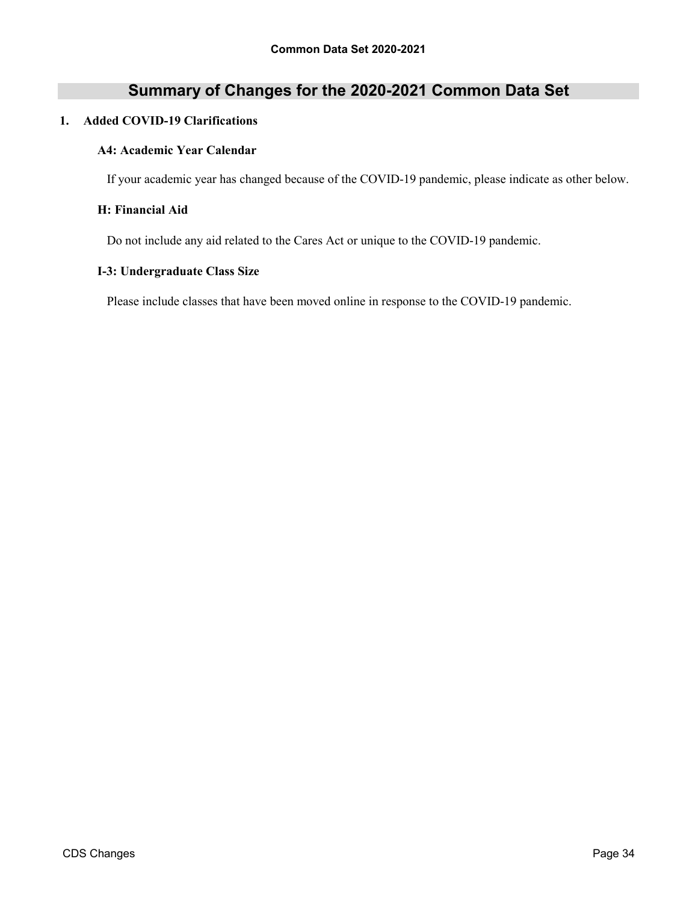# **Summary of Changes for the 2020-2021 Common Data Set**

#### **1. Added COVID-19 Clarifications**

#### **A4: Academic Year Calendar**

If your academic year has changed because of the COVID-19 pandemic, please indicate as other below.

#### **H: Financial Aid**

Do not include any aid related to the Cares Act or unique to the COVID-19 pandemic.

#### **I-3: Undergraduate Class Size**

Please include classes that have been moved online in response to the COVID-19 pandemic.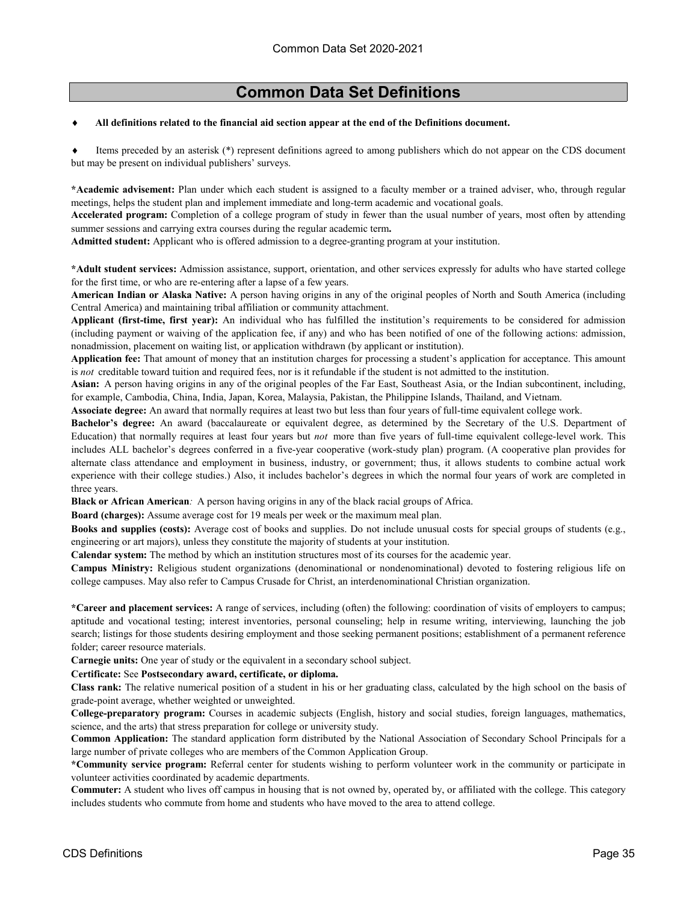#### ♦ **All definitions related to the financial aid section appear at the end of the Definitions document.**

Items preceded by an asterisk (\*) represent definitions agreed to among publishers which do not appear on the CDS document but may be present on individual publishers' surveys.

**\*Academic advisement:** Plan under which each student is assigned to a faculty member or a trained adviser, who, through regular meetings, helps the student plan and implement immediate and long-term academic and vocational goals.

**Accelerated program:** Completion of a college program of study in fewer than the usual number of years, most often by attending summer sessions and carrying extra courses during the regular academic term**.**

**Admitted student:** Applicant who is offered admission to a degree-granting program at your institution.

**\*Adult student services:** Admission assistance, support, orientation, and other services expressly for adults who have started college for the first time, or who are re-entering after a lapse of a few years.

**American Indian or Alaska Native:** A person having origins in any of the original peoples of North and South America (including Central America) and maintaining tribal affiliation or community attachment.

**Applicant (first-time, first year):** An individual who has fulfilled the institution's requirements to be considered for admission (including payment or waiving of the application fee, if any) and who has been notified of one of the following actions: admission, nonadmission, placement on waiting list, or application withdrawn (by applicant or institution).

**Application fee:** That amount of money that an institution charges for processing a student's application for acceptance. This amount is *not* creditable toward tuition and required fees, nor is it refundable if the student is not admitted to the institution.

**Asian:** A person having origins in any of the original peoples of the Far East, Southeast Asia, or the Indian subcontinent, including, for example, Cambodia, China, India, Japan, Korea, Malaysia, Pakistan, the Philippine Islands, Thailand, and Vietnam.

**Associate degree:** An award that normally requires at least two but less than four years of full-time equivalent college work.

**Bachelor's degree:** An award (baccalaureate or equivalent degree, as determined by the Secretary of the U.S. Department of Education) that normally requires at least four years but *not* more than five years of full-time equivalent college-level work. This includes ALL bachelor's degrees conferred in a five-year cooperative (work-study plan) program. (A cooperative plan provides for alternate class attendance and employment in business, industry, or government; thus, it allows students to combine actual work experience with their college studies.) Also, it includes bachelor's degrees in which the normal four years of work are completed in three years.

**Black or African American***:* A person having origins in any of the black racial groups of Africa.

**Board (charges):** Assume average cost for 19 meals per week or the maximum meal plan.

**Books and supplies (costs):** Average cost of books and supplies. Do not include unusual costs for special groups of students (e.g., engineering or art majors), unless they constitute the majority of students at your institution.

**Calendar system:** The method by which an institution structures most of its courses for the academic year.

**Campus Ministry:** Religious student organizations (denominational or nondenominational) devoted to fostering religious life on college campuses. May also refer to Campus Crusade for Christ, an interdenominational Christian organization.

**\*Career and placement services:** A range of services, including (often) the following: coordination of visits of employers to campus; aptitude and vocational testing; interest inventories, personal counseling; help in resume writing, interviewing, launching the job search; listings for those students desiring employment and those seeking permanent positions; establishment of a permanent reference folder; career resource materials.

**Carnegie units:** One year of study or the equivalent in a secondary school subject.

**Certificate:** See **Postsecondary award, certificate, or diploma.**

**Class rank:** The relative numerical position of a student in his or her graduating class, calculated by the high school on the basis of grade-point average, whether weighted or unweighted.

**College-preparatory program:** Courses in academic subjects (English, history and social studies, foreign languages, mathematics, science, and the arts) that stress preparation for college or university study.

**Common Application:** The standard application form distributed by the National Association of Secondary School Principals for a large number of private colleges who are members of the Common Application Group.

**\*Community service program:** Referral center for students wishing to perform volunteer work in the community or participate in volunteer activities coordinated by academic departments.

**Commuter:** A student who lives off campus in housing that is not owned by, operated by, or affiliated with the college. This category includes students who commute from home and students who have moved to the area to attend college.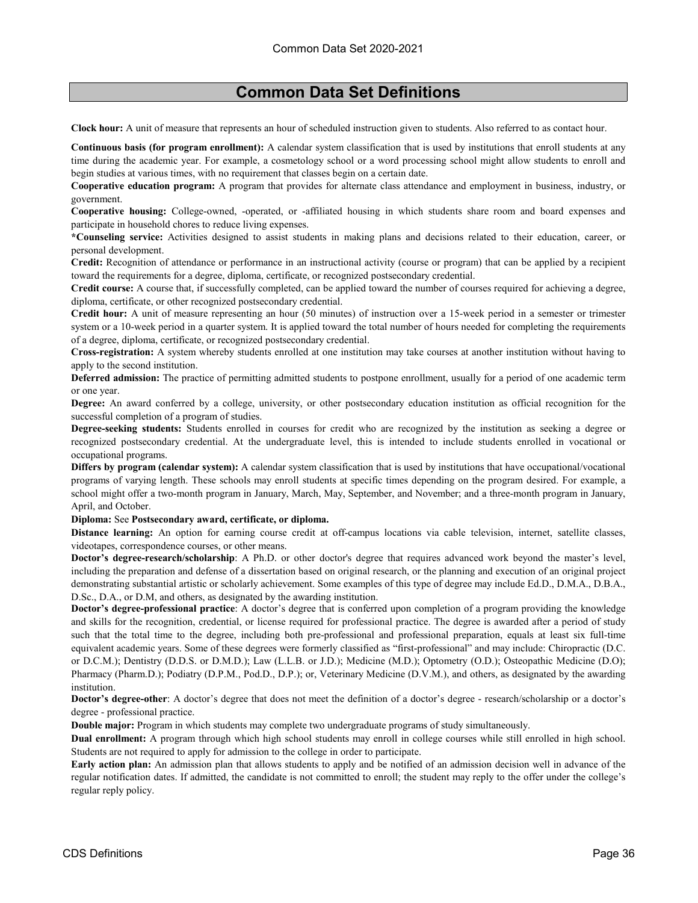**Clock hour:** A unit of measure that represents an hour of scheduled instruction given to students. Also referred to as contact hour.

**Continuous basis (for program enrollment):** A calendar system classification that is used by institutions that enroll students at any time during the academic year. For example, a cosmetology school or a word processing school might allow students to enroll and begin studies at various times, with no requirement that classes begin on a certain date.

**Cooperative education program:** A program that provides for alternate class attendance and employment in business, industry, or government.

**Cooperative housing:** College-owned, -operated, or -affiliated housing in which students share room and board expenses and participate in household chores to reduce living expenses.

**\*Counseling service:** Activities designed to assist students in making plans and decisions related to their education, career, or personal development.

**Credit:** Recognition of attendance or performance in an instructional activity (course or program) that can be applied by a recipient toward the requirements for a degree, diploma, certificate, or recognized postsecondary credential.

**Credit course:** A course that, if successfully completed, can be applied toward the number of courses required for achieving a degree, diploma, certificate, or other recognized postsecondary credential.

**Credit hour:** A unit of measure representing an hour (50 minutes) of instruction over a 15-week period in a semester or trimester system or a 10-week period in a quarter system. It is applied toward the total number of hours needed for completing the requirements of a degree, diploma, certificate, or recognized postsecondary credential.

**Cross-registration:** A system whereby students enrolled at one institution may take courses at another institution without having to apply to the second institution.

**Deferred admission:** The practice of permitting admitted students to postpone enrollment, usually for a period of one academic term or one year.

**Degree:** An award conferred by a college, university, or other postsecondary education institution as official recognition for the successful completion of a program of studies.

**Degree-seeking students:** Students enrolled in courses for credit who are recognized by the institution as seeking a degree or recognized postsecondary credential. At the undergraduate level, this is intended to include students enrolled in vocational or occupational programs.

**Differs by program (calendar system):** A calendar system classification that is used by institutions that have occupational/vocational programs of varying length. These schools may enroll students at specific times depending on the program desired. For example, a school might offer a two-month program in January, March, May, September, and November; and a three-month program in January, April, and October.

**Diploma:** See **Postsecondary award, certificate, or diploma.**

**Distance learning:** An option for earning course credit at off-campus locations via cable television, internet, satellite classes, videotapes, correspondence courses, or other means.

**Doctor's degree-research/scholarship**: A Ph.D. or other doctor's degree that requires advanced work beyond the master's level, including the preparation and defense of a dissertation based on original research, or the planning and execution of an original project demonstrating substantial artistic or scholarly achievement. Some examples of this type of degree may include Ed.D., D.M.A., D.B.A., D.Sc., D.A., or D.M, and others, as designated by the awarding institution.

**Doctor's degree-professional practice**: A doctor's degree that is conferred upon completion of a program providing the knowledge and skills for the recognition, credential, or license required for professional practice. The degree is awarded after a period of study such that the total time to the degree, including both pre-professional and professional preparation, equals at least six full-time equivalent academic years. Some of these degrees were formerly classified as "first-professional" and may include: Chiropractic (D.C. or D.C.M.); Dentistry (D.D.S. or D.M.D.); Law (L.L.B. or J.D.); Medicine (M.D.); Optometry (O.D.); Osteopathic Medicine (D.O); Pharmacy (Pharm.D.); Podiatry (D.P.M., Pod.D., D.P.); or, Veterinary Medicine (D.V.M.), and others, as designated by the awarding institution.

**Doctor's degree-other**: A doctor's degree that does not meet the definition of a doctor's degree - research/scholarship or a doctor's degree - professional practice.

**Double major:** Program in which students may complete two undergraduate programs of study simultaneously.

**Dual enrollment:** A program through which high school students may enroll in college courses while still enrolled in high school. Students are not required to apply for admission to the college in order to participate.

**Early action plan:** An admission plan that allows students to apply and be notified of an admission decision well in advance of the regular notification dates. If admitted, the candidate is not committed to enroll; the student may reply to the offer under the college's regular reply policy.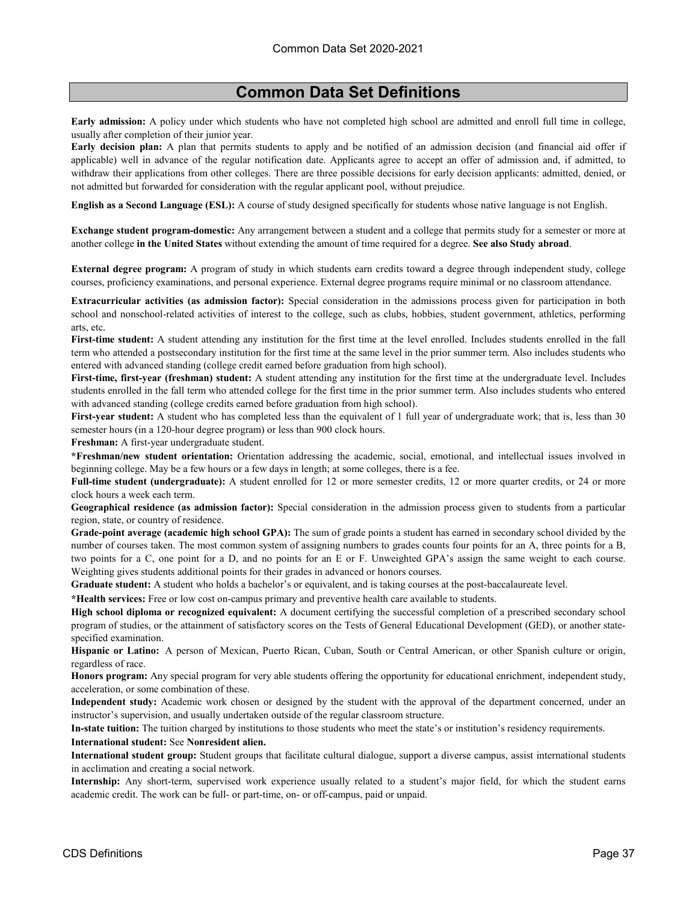**Early admission:** A policy under which students who have not completed high school are admitted and enroll full time in college, usually after completion of their junior year.

**Early decision plan:** A plan that permits students to apply and be notified of an admission decision (and financial aid offer if applicable) well in advance of the regular notification date. Applicants agree to accept an offer of admission and, if admitted, to withdraw their applications from other colleges. There are three possible decisions for early decision applicants: admitted, denied, or not admitted but forwarded for consideration with the regular applicant pool, without prejudice.

**English as a Second Language (ESL):** A course of study designed specifically for students whose native language is not English.

**Exchange student program-domestic:** Any arrangement between a student and a college that permits study for a semester or more at another college **in the United States** without extending the amount of time required for a degree. **See also Study abroad**.

**External degree program:** A program of study in which students earn credits toward a degree through independent study, college courses, proficiency examinations, and personal experience. External degree programs require minimal or no classroom attendance.

**Extracurricular activities (as admission factor):** Special consideration in the admissions process given for participation in both school and nonschool-related activities of interest to the college, such as clubs, hobbies, student government, athletics, performing arts, etc.

**First-time student:** A student attending any institution for the first time at the level enrolled. Includes students enrolled in the fall term who attended a postsecondary institution for the first time at the same level in the prior summer term. Also includes students who entered with advanced standing (college credit earned before graduation from high school).

**First-time, first-year (freshman) student:** A student attending any institution for the first time at the undergraduate level. Includes students enrolled in the fall term who attended college for the first time in the prior summer term. Also includes students who entered with advanced standing (college credits earned before graduation from high school).

**First-year student:** A student who has completed less than the equivalent of 1 full year of undergraduate work; that is, less than 30 semester hours (in a 120-hour degree program) or less than 900 clock hours.

**Freshman:** A first-year undergraduate student.

**\*Freshman/new student orientation:** Orientation addressing the academic, social, emotional, and intellectual issues involved in beginning college. May be a few hours or a few days in length; at some colleges, there is a fee.

**Full-time student (undergraduate):** A student enrolled for 12 or more semester credits, 12 or more quarter credits, or 24 or more clock hours a week each term.

**Geographical residence (as admission factor):** Special consideration in the admission process given to students from a particular region, state, or country of residence.

**Grade-point average (academic high school GPA):** The sum of grade points a student has earned in secondary school divided by the number of courses taken. The most common system of assigning numbers to grades counts four points for an A, three points for a B, two points for a C, one point for a D, and no points for an E or F. Unweighted GPA's assign the same weight to each course. Weighting gives students additional points for their grades in advanced or honors courses.

**Graduate student:** A student who holds a bachelor's or equivalent, and is taking courses at the post-baccalaureate level.

**\*Health services:** Free or low cost on-campus primary and preventive health care available to students.

**High school diploma or recognized equivalent:** A document certifying the successful completion of a prescribed secondary school program of studies, or the attainment of satisfactory scores on the Tests of General Educational Development (GED), or another statespecified examination.

**Hispanic or Latino:** A person of Mexican, Puerto Rican, Cuban, South or Central American, or other Spanish culture or origin, regardless of race.

**Honors program:** Any special program for very able students offering the opportunity for educational enrichment, independent study, acceleration, or some combination of these.

**Independent study:** Academic work chosen or designed by the student with the approval of the department concerned, under an instructor's supervision, and usually undertaken outside of the regular classroom structure.

**In-state tuition:** The tuition charged by institutions to those students who meet the state's or institution's residency requirements.

**International student:** See **Nonresident alien.**

**International student group:** Student groups that facilitate cultural dialogue, support a diverse campus, assist international students in acclimation and creating a social network.

**Internship:** Any short-term, supervised work experience usually related to a student's major field, for which the student earns academic credit. The work can be full- or part-time, on- or off-campus, paid or unpaid.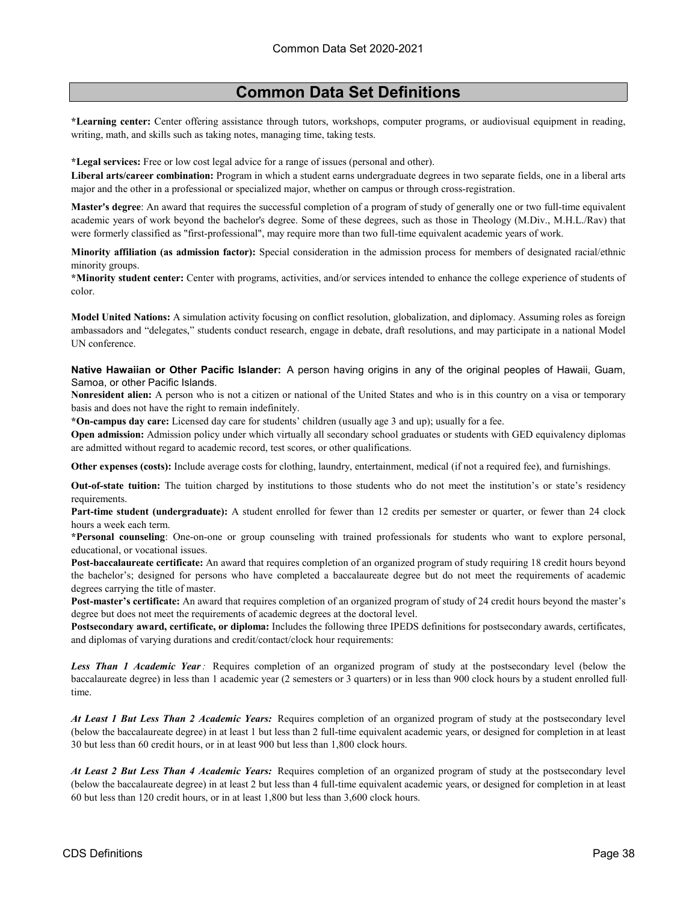**\*Learning center:** Center offering assistance through tutors, workshops, computer programs, or audiovisual equipment in reading, writing, math, and skills such as taking notes, managing time, taking tests.

**\*Legal services:** Free or low cost legal advice for a range of issues (personal and other).

**Liberal arts/career combination:** Program in which a student earns undergraduate degrees in two separate fields, one in a liberal arts major and the other in a professional or specialized major, whether on campus or through cross-registration.

**Master's degree**: An award that requires the successful completion of a program of study of generally one or two full-time equivalent academic years of work beyond the bachelor's degree. Some of these degrees, such as those in Theology (M.Div., M.H.L./Rav) that were formerly classified as "first-professional", may require more than two full-time equivalent academic years of work.

**Minority affiliation (as admission factor):** Special consideration in the admission process for members of designated racial/ethnic minority groups.

**\*Minority student center:** Center with programs, activities, and/or services intended to enhance the college experience of students of color.

**Model United Nations:** A simulation activity focusing on conflict resolution, globalization, and diplomacy. Assuming roles as foreign ambassadors and "delegates," students conduct research, engage in debate, draft resolutions, and may participate in a national Model UN conference.

**Native Hawaiian or Other Pacific Islander:** A person having origins in any of the original peoples of Hawaii, Guam, Samoa, or other Pacific Islands.

**Nonresident alien:** A person who is not a citizen or national of the United States and who is in this country on a visa or temporary basis and does not have the right to remain indefinitely.

**\*On-campus day care:** Licensed day care for students' children (usually age 3 and up); usually for a fee.

**Open admission:** Admission policy under which virtually all secondary school graduates or students with GED equivalency diplomas are admitted without regard to academic record, test scores, or other qualifications.

**Other expenses (costs):** Include average costs for clothing, laundry, entertainment, medical (if not a required fee), and furnishings.

**Out-of-state tuition:** The tuition charged by institutions to those students who do not meet the institution's or state's residency requirements.

**Part-time student (undergraduate):** A student enrolled for fewer than 12 credits per semester or quarter, or fewer than 24 clock hours a week each term.

**\*Personal counseling**: One-on-one or group counseling with trained professionals for students who want to explore personal, educational, or vocational issues.

**Post-baccalaureate certificate:** An award that requires completion of an organized program of study requiring 18 credit hours beyond the bachelor's; designed for persons who have completed a baccalaureate degree but do not meet the requirements of academic degrees carrying the title of master.

**Post-master's certificate:** An award that requires completion of an organized program of study of 24 credit hours beyond the master's degree but does not meet the requirements of academic degrees at the doctoral level.

**Postsecondary award, certificate, or diploma:** Includes the following three IPEDS definitions for postsecondary awards, certificates, and diplomas of varying durations and credit/contact/clock hour requirements:

*Less Than 1 Academic Year:* Requires completion of an organized program of study at the postsecondary level (below the baccalaureate degree) in less than 1 academic year (2 semesters or 3 quarters) or in less than 900 clock hours by a student enrolled fulltime.

*At Least 1 But Less Than 2 Academic Years:* Requires completion of an organized program of study at the postsecondary level (below the baccalaureate degree) in at least 1 but less than 2 full-time equivalent academic years, or designed for completion in at least 30 but less than 60 credit hours, or in at least 900 but less than 1,800 clock hours.

*At Least 2 But Less Than 4 Academic Years:* Requires completion of an organized program of study at the postsecondary level (below the baccalaureate degree) in at least 2 but less than 4 full-time equivalent academic years, or designed for completion in at least 60 but less than 120 credit hours, or in at least 1,800 but less than 3,600 clock hours.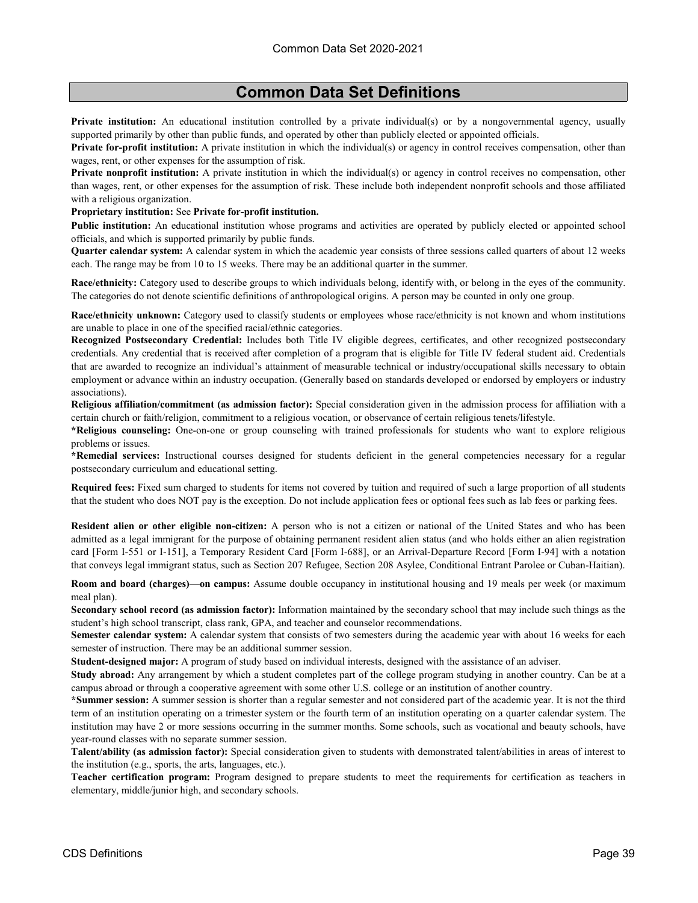**Private institution:** An educational institution controlled by a private individual(s) or by a nongovernmental agency, usually supported primarily by other than public funds, and operated by other than publicly elected or appointed officials.

**Private for-profit institution:** A private institution in which the individual(s) or agency in control receives compensation, other than wages, rent, or other expenses for the assumption of risk.

**Private nonprofit institution:** A private institution in which the individual(s) or agency in control receives no compensation, other than wages, rent, or other expenses for the assumption of risk. These include both independent nonprofit schools and those affiliated with a religious organization.

**Proprietary institution:** See **Private for-profit institution.**

**Public institution:** An educational institution whose programs and activities are operated by publicly elected or appointed school officials, and which is supported primarily by public funds.

**Quarter calendar system:** A calendar system in which the academic year consists of three sessions called quarters of about 12 weeks each. The range may be from 10 to 15 weeks. There may be an additional quarter in the summer.

**Race/ethnicity:** Category used to describe groups to which individuals belong, identify with, or belong in the eyes of the community. The categories do not denote scientific definitions of anthropological origins. A person may be counted in only one group.

**Race/ethnicity unknown:** Category used to classify students or employees whose race/ethnicity is not known and whom institutions are unable to place in one of the specified racial/ethnic categories.

**Recognized Postsecondary Credential:** Includes both Title IV eligible degrees, certificates, and other recognized postsecondary credentials. Any credential that is received after completion of a program that is eligible for Title IV federal student aid. Credentials that are awarded to recognize an individual's attainment of measurable technical or industry/occupational skills necessary to obtain employment or advance within an industry occupation. (Generally based on standards developed or endorsed by employers or industry associations).

**Religious affiliation/commitment (as admission factor):** Special consideration given in the admission process for affiliation with a certain church or faith/religion, commitment to a religious vocation, or observance of certain religious tenets/lifestyle.

**\*Religious counseling:** One-on-one or group counseling with trained professionals for students who want to explore religious problems or issues.

**\*Remedial services:** Instructional courses designed for students deficient in the general competencies necessary for a regular postsecondary curriculum and educational setting.

**Required fees:** Fixed sum charged to students for items not covered by tuition and required of such a large proportion of all students that the student who does NOT pay is the exception. Do not include application fees or optional fees such as lab fees or parking fees.

**Resident alien or other eligible non-citizen:** A person who is not a citizen or national of the United States and who has been admitted as a legal immigrant for the purpose of obtaining permanent resident alien status (and who holds either an alien registration card [Form I-551 or I-151], a Temporary Resident Card [Form I-688], or an Arrival-Departure Record [Form I-94] with a notation that conveys legal immigrant status, such as Section 207 Refugee, Section 208 Asylee, Conditional Entrant Parolee or Cuban-Haitian).

**Room and board (charges)—on campus:** Assume double occupancy in institutional housing and 19 meals per week (or maximum meal plan).

**Secondary school record (as admission factor):** Information maintained by the secondary school that may include such things as the student's high school transcript, class rank, GPA, and teacher and counselor recommendations.

**Semester calendar system:** A calendar system that consists of two semesters during the academic year with about 16 weeks for each semester of instruction. There may be an additional summer session.

**Student-designed major:** A program of study based on individual interests, designed with the assistance of an adviser.

**Study abroad:** Any arrangement by which a student completes part of the college program studying in another country. Can be at a campus abroad or through a cooperative agreement with some other U.S. college or an institution of another country.

**\*Summer session:** A summer session is shorter than a regular semester and not considered part of the academic year. It is not the third term of an institution operating on a trimester system or the fourth term of an institution operating on a quarter calendar system. The institution may have 2 or more sessions occurring in the summer months. Some schools, such as vocational and beauty schools, have year-round classes with no separate summer session.

**Talent/ability (as admission factor):** Special consideration given to students with demonstrated talent/abilities in areas of interest to the institution (e.g., sports, the arts, languages, etc.).

**Teacher certification program:** Program designed to prepare students to meet the requirements for certification as teachers in elementary, middle/junior high, and secondary schools.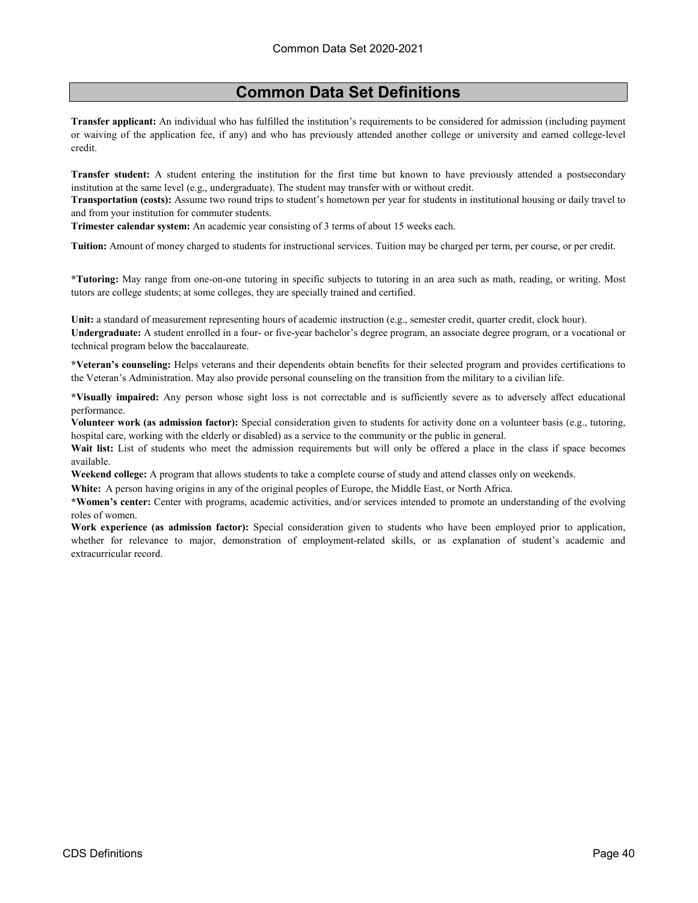**Transfer applicant:** An individual who has fulfilled the institution's requirements to be considered for admission (including payment or waiving of the application fee, if any) and who has previously attended another college or university and earned college-level credit.

**Transfer student:** A student entering the institution for the first time but known to have previously attended a postsecondary institution at the same level (e.g., undergraduate). The student may transfer with or without credit.

**Transportation (costs):** Assume two round trips to student's hometown per year for students in institutional housing or daily travel to and from your institution for commuter students.

**Trimester calendar system:** An academic year consisting of 3 terms of about 15 weeks each.

**Tuition:** Amount of money charged to students for instructional services. Tuition may be charged per term, per course, or per credit.

**\*Tutoring:** May range from one-on-one tutoring in specific subjects to tutoring in an area such as math, reading, or writing. Most tutors are college students; at some colleges, they are specially trained and certified.

**Unit:** a standard of measurement representing hours of academic instruction (e.g., semester credit, quarter credit, clock hour). **Undergraduate:** A student enrolled in a four- or five-year bachelor's degree program, an associate degree program, or a vocational or technical program below the baccalaureate.

**\*Veteran's counseling:** Helps veterans and their dependents obtain benefits for their selected program and provides certifications to the Veteran's Administration. May also provide personal counseling on the transition from the military to a civilian life.

**\*Visually impaired:** Any person whose sight loss is not correctable and is sufficiently severe as to adversely affect educational performance.

**Volunteer work (as admission factor):** Special consideration given to students for activity done on a volunteer basis (e.g., tutoring, hospital care, working with the elderly or disabled) as a service to the community or the public in general.

**Wait list:** List of students who meet the admission requirements but will only be offered a place in the class if space becomes available.

**Weekend college:** A program that allows students to take a complete course of study and attend classes only on weekends.

**White:** A person having origins in any of the original peoples of Europe, the Middle East, or North Africa.

**\*Women's center:** Center with programs, academic activities, and/or services intended to promote an understanding of the evolving roles of women.

**Work experience (as admission factor):** Special consideration given to students who have been employed prior to application, whether for relevance to major, demonstration of employment-related skills, or as explanation of student's academic and extracurricular record.